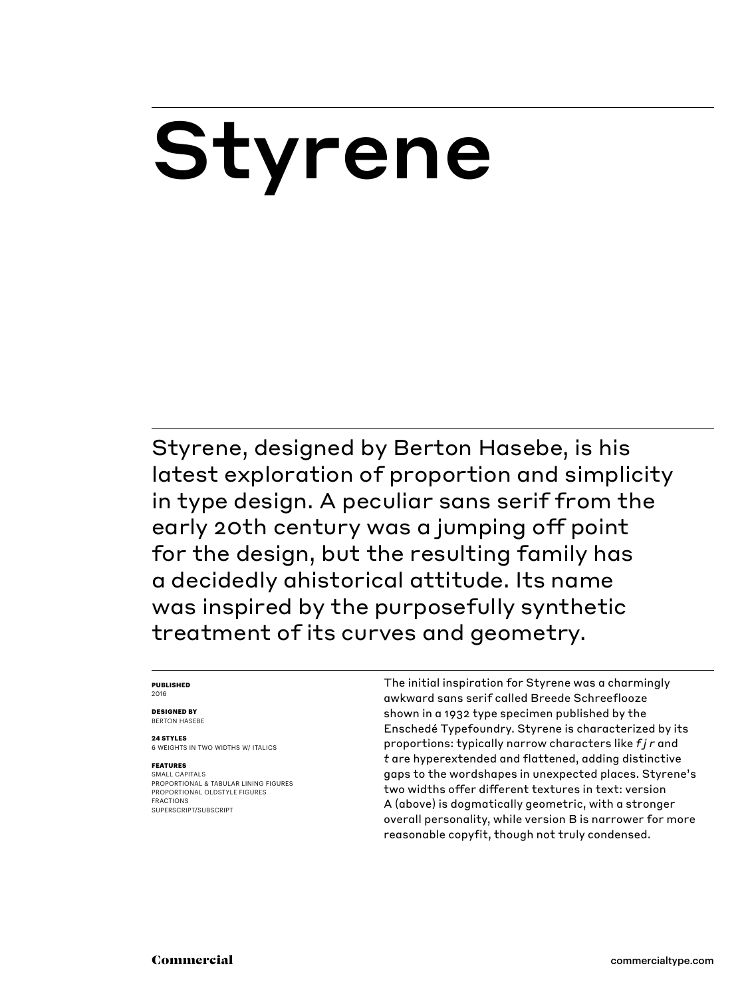# Styrene

Styrene, designed by Berton Hasebe, is his latest exploration of proportion and simplicity in type design. A peculiar sans serif from the early 20th century was a jumping off point for the design, but the resulting family has a decidedly ahistorical attitude. Its name was inspired by the purposefully synthetic treatment of its curves and geometry.

#### **PUBLISHED** 2016

**DESIGNED BY** BERTON HASEBE

**24 STYLES**

6 WEIGHTS IN TWO WIDTHS W/ ITALICS

### **FEATURES**

SMALL CAPITALS PROPORTIONAL & TABULAR LINING FIGURES PROPORTIONAL OLDSTYLE FIGURES FRACTIONS SUPERSCRIPT/SUBSCRIPT

The initial inspiration for Styrene was a charmingly awkward sans serif called Breede Schreeflooze shown in a 1932 type specimen published by the Enschedé Typefoundry. Styrene is characterized by its proportions: typically narrow characters like *f j r* and *t* are hyperextended and flattened, adding distinctive gaps to the wordshapes in unexpected places. Styrene's two widths offer different textures in text: version A (above) is dogmatically geometric, with a stronger overall personality, while version B is narrower for more reasonable copyfit, though not truly condensed.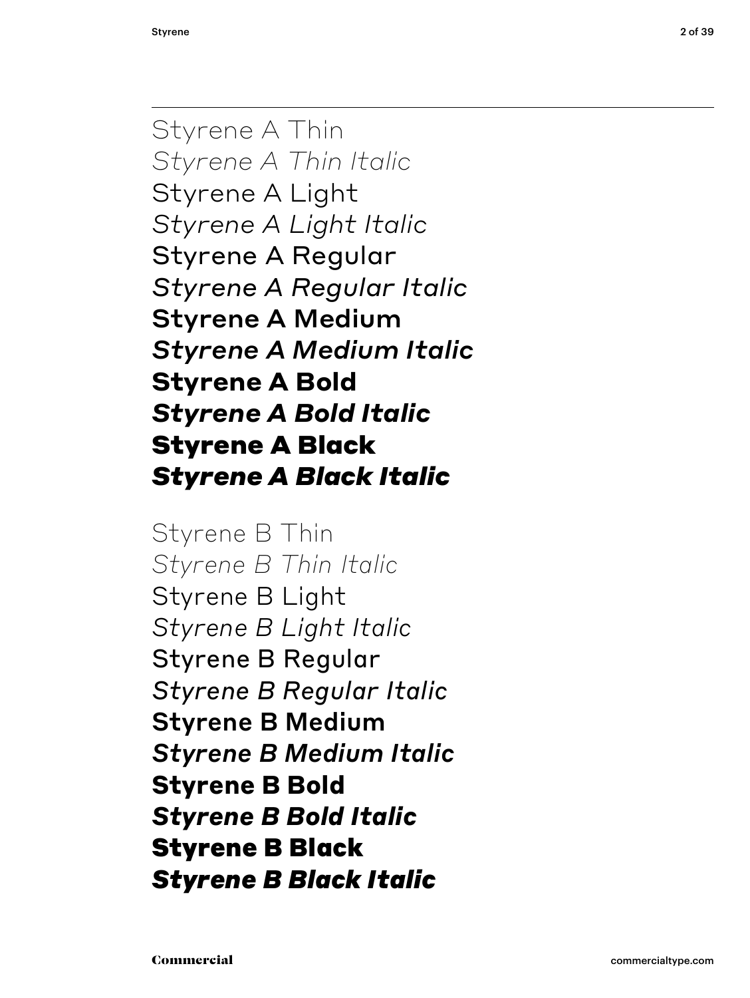Styrene A Thin *Styrene A Thin Italic* Styrene A Light *Styrene A Light Italic* Styrene A Regular *Styrene A Regular Italic* Styrene A Medium *Styrene A Medium Italic* **Styrene A Bold** *Styrene A Bold Italic* Styrene A Black *Styrene A Black Italic*

Styrene B Thin *Styrene B Thin Italic* Styrene B Light *Styrene B Light Italic* Styrene B Regular *Styrene B Regular Italic* Styrene B Medium *Styrene B Medium Italic* **Styrene B Bold** *Styrene B Bold Italic* Styrene B Black *Styrene B Black Italic*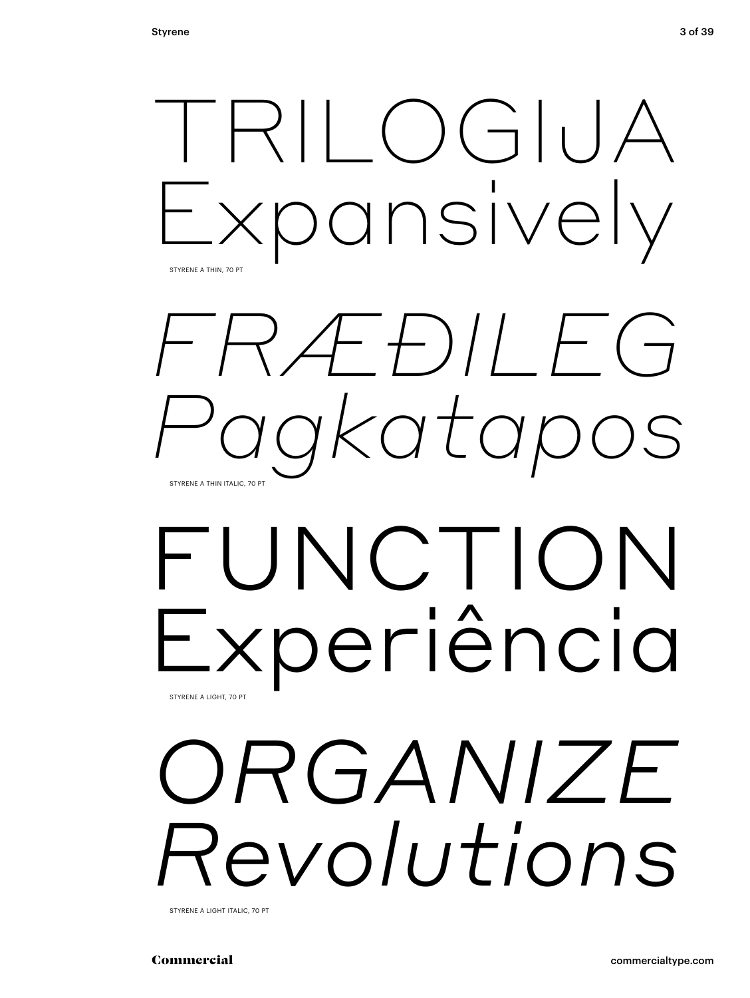

STYRENE A LIGHT ITALIC, 70 PT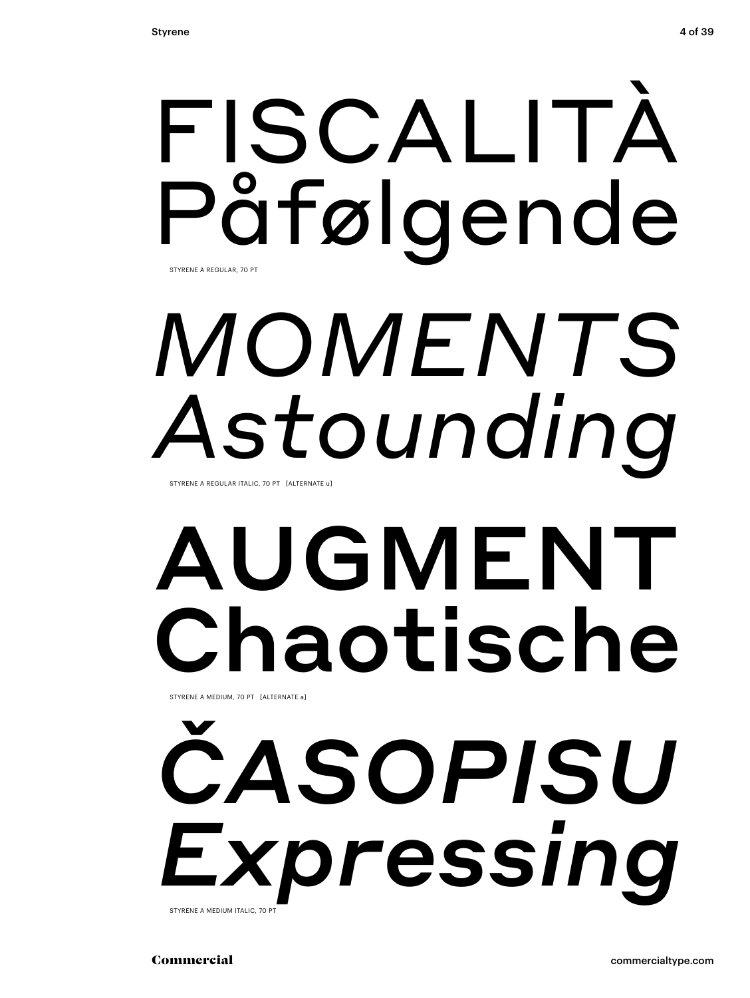# FISCALITÀ Påfølgende STYRENE A REGULAR, 70 PT

# *MOMENTS Astounding*

STYRENE A REGULAR ITALIC, 70 PT [ALTERNATE u]

# AUGMENT Chaotische STYRENE A MEDIUM, 70 PT [ALTERNATE a]

*ČASOPISU Expressing* STYRENE A MEDIUM ITALIC, 70 PT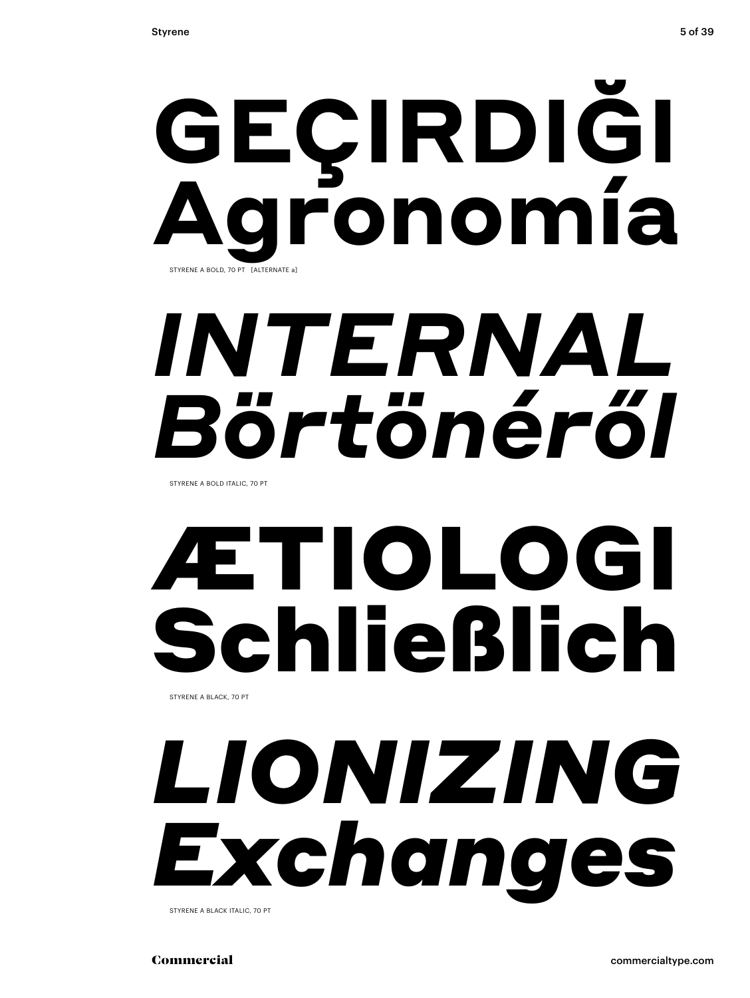# **GEÇIRDIĞI Agronomía** STYRENE A BOLD, 70 PT [ALTERNATE a]

# *INTERNAL Börtönéről*

STYRENE A BOLD ITALIC, 70 PT

# ÆTIOLOGI Schließlich STYRENE A BLACK, 70 PT

# *LIONIZING Exchanges*

STYRENE A BLACK ITALIC, 70 PT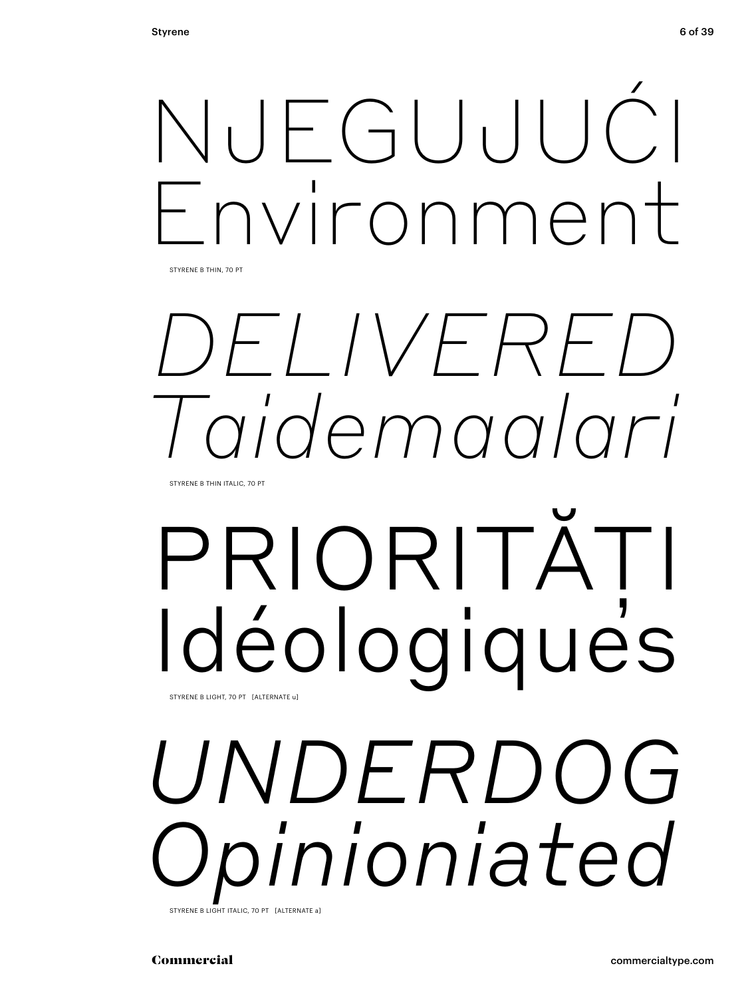

STYRENE B THIN, 70 PT

# *DELIVERED Taidemaalari*

STYRENE B THIN ITALIC, 70 PT

# PRIORITĂȚI Idéologiques STYRENE B LIGHT, 70 PT [ALTERNATE u]

# *UNDERDOG Opinioniated*

STYRENE B LIGHT ITALIC, 70 PT [ALTERNATE a]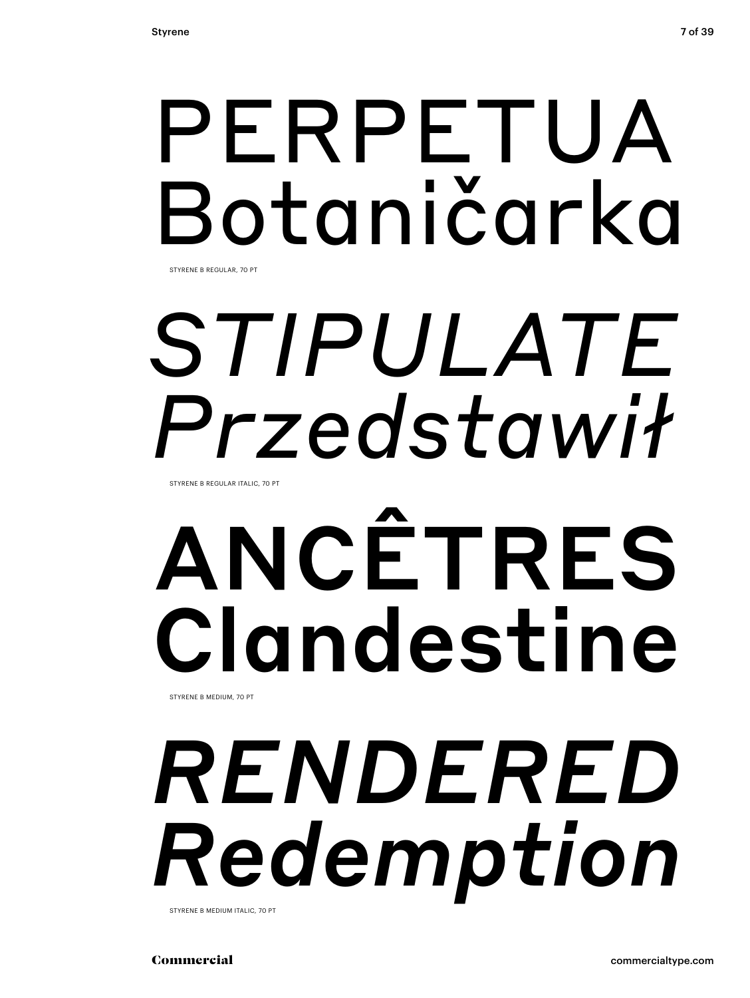## PERPETUA Botaničarka STYRENE B REGULAR, 70 PT

# *STIPULATE Przedstawił*

STYRENE B REGULAR ITALIC, 70 PT

# ANCÊTRES Clandestine STYRENE B MEDIUM, 70 PT

# *RENDERED Redemption*

STYRENE B MEDIUM ITALIC, 70 PT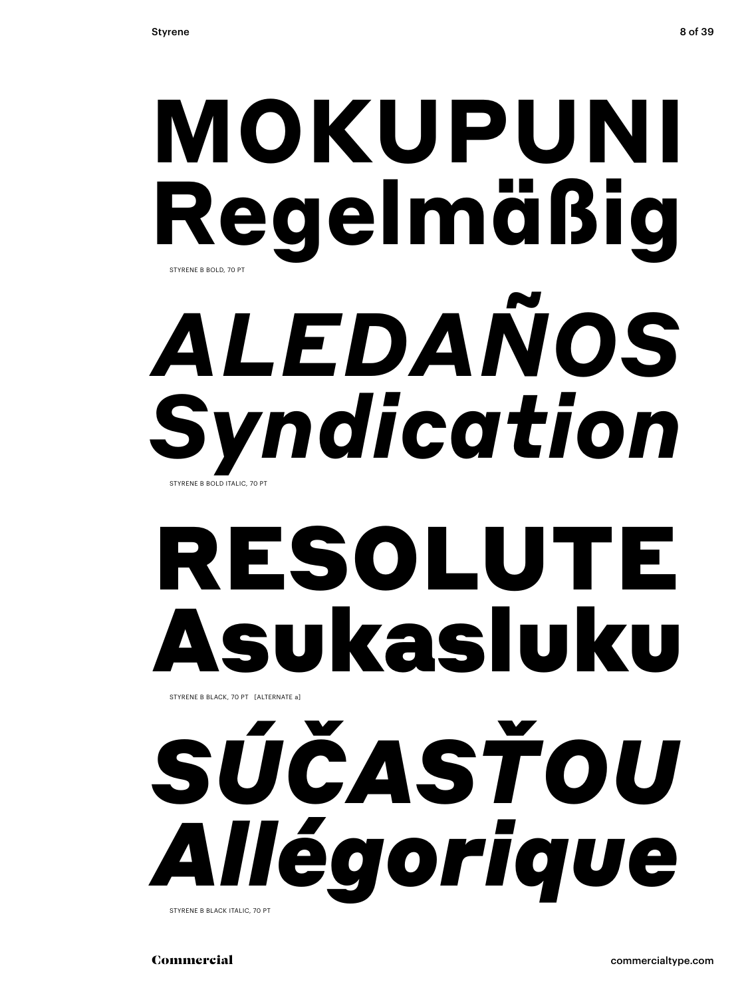# **MOKUPUNI Regelmäßig** *ALEDAÑOS Syndication* STYRENE B BOLD, 70 PT STYRENE B BOLD ITALIC, 70 PT

# RESOLUTE Asukasluku

STYRENE B BLACK, 70 PT [ALTERNATE a]

# *SÚČASŤOU Allégorique*

STYRENE B BLACK ITALIC, 70 PT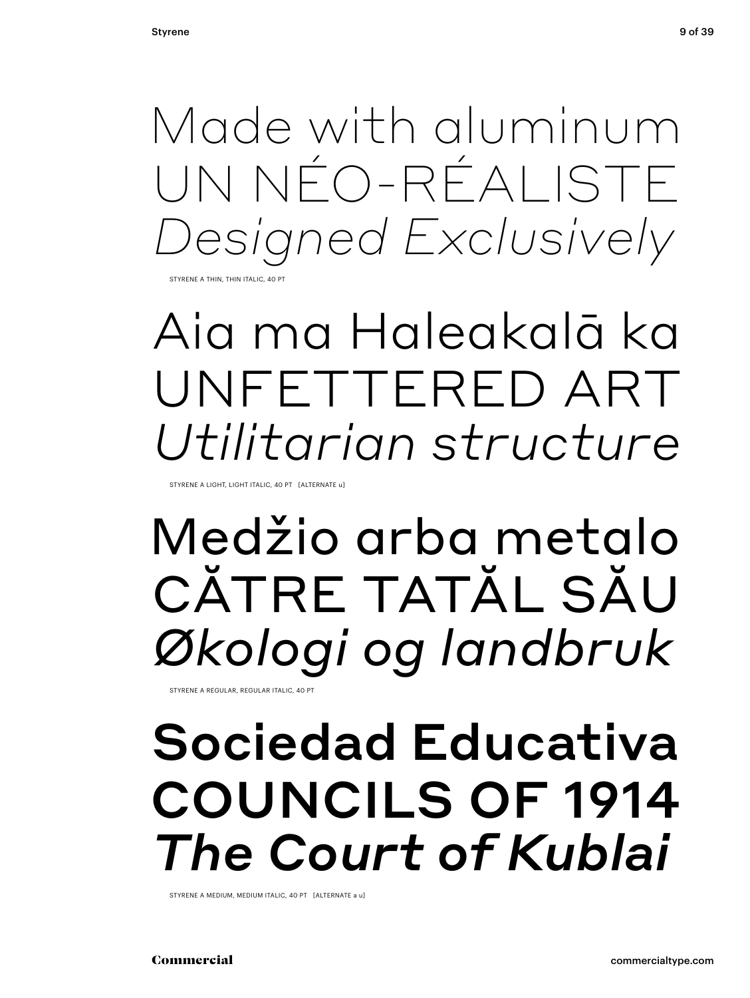Made with aluminum UN NÉO-RÉALISTE esigned Exclusively

**STYRENE A THIN, THIN ITALIC, 40 PT** 

## Aia ma Haleakalā ka UNFETTERED ART *Utilitarian structure*

STYRENE A LIGHT, LIGHT ITALIC, 40 PT [ALTERNATE u]

## Medžio arba metalo CĂTRE TATĂL SĂU *Økologi og landbruk*

STYRENE A REGULAR, REGULAR ITALIC, 40 PT

## Sociedad Educativa COUNCILS OF 1914 *The Court of Kublai*

STYRENE A MEDIUM, MEDIUM ITALIC, 40 PT [ALTERNATE a u]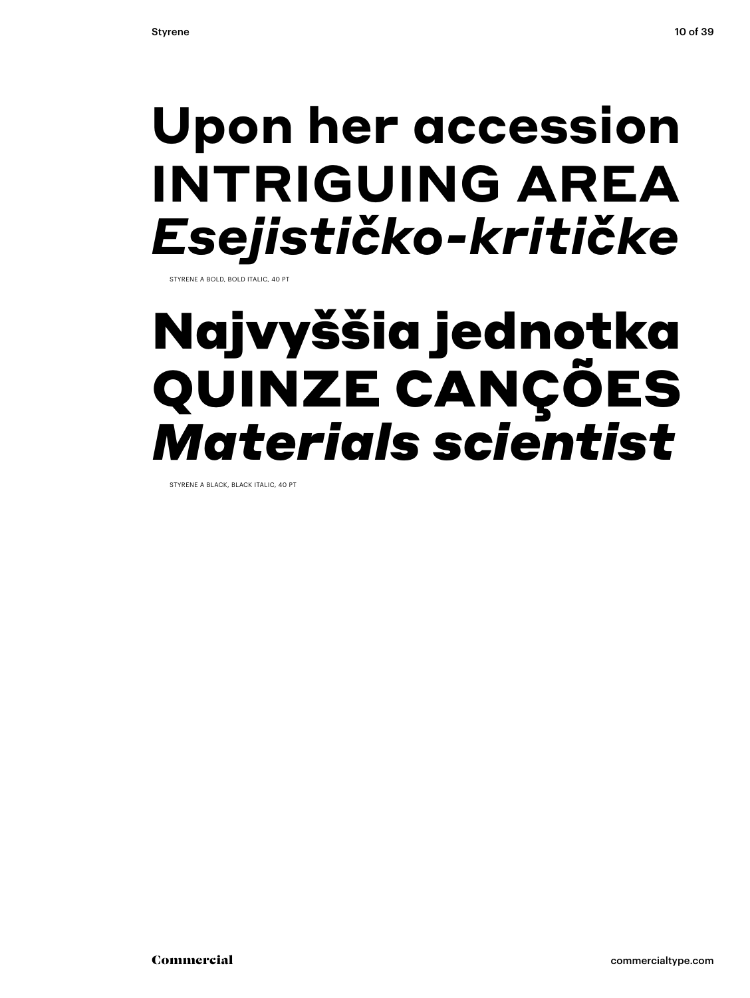## **Upon her accession INTRIGUING AREA** *Esejističko-kritičke*

STYRENE A BOLD, BOLD ITALIC, 40 PT

## Najvyššia jednotka QUINZE CANÇÕES *Materials scientist*

STYRENE A BLACK, BLACK ITALIC, 40 PT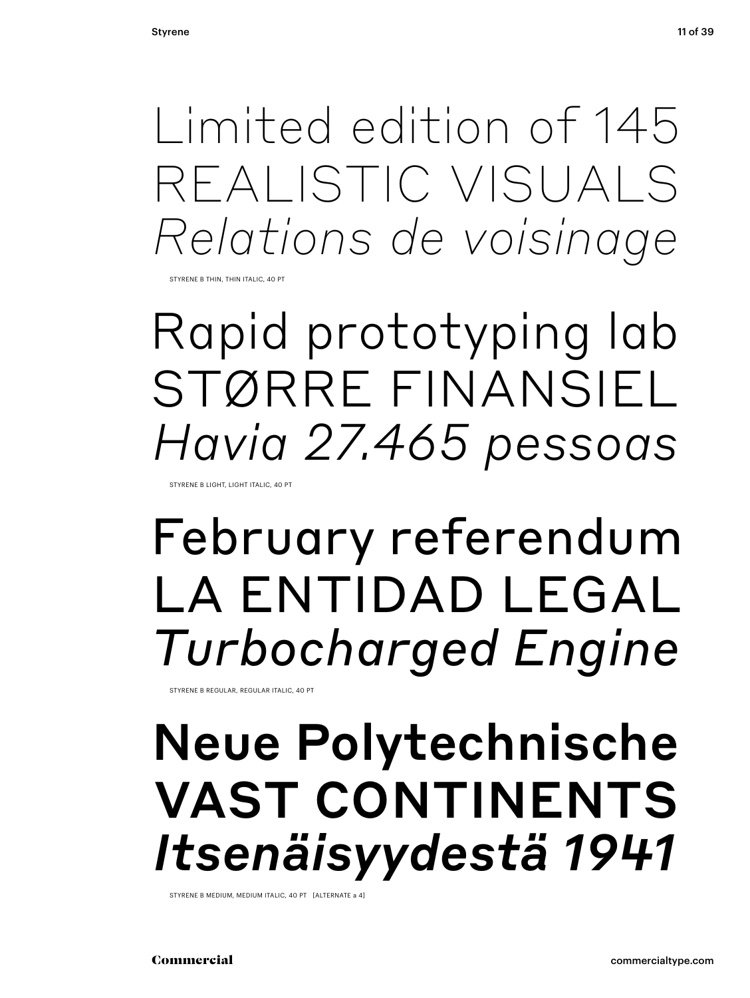Limited edition of 145 REALISTIC VISUALS *Relations de voisinage*

STYRENE B THIN, THIN ITALIC, 40 PT

Rapid prototyping lab STØRRE FINANSIEL *Havia 27.465 pessoas* 

STYRENE B LIGHT, LIGHT ITALIC, 40 PT

## February referendum LA ENTIDAD LEGAL *Turbocharged Engine*

STYRENE B REGULAR, REGULAR ITALIC, 40 PT

## Neue Polytechnische VAST CONTINENTS *Itsenäisyydestä 1941*

STYRENE B MEDIUM, MEDIUM ITALIC, 40 PT [ALTERNATE a 4]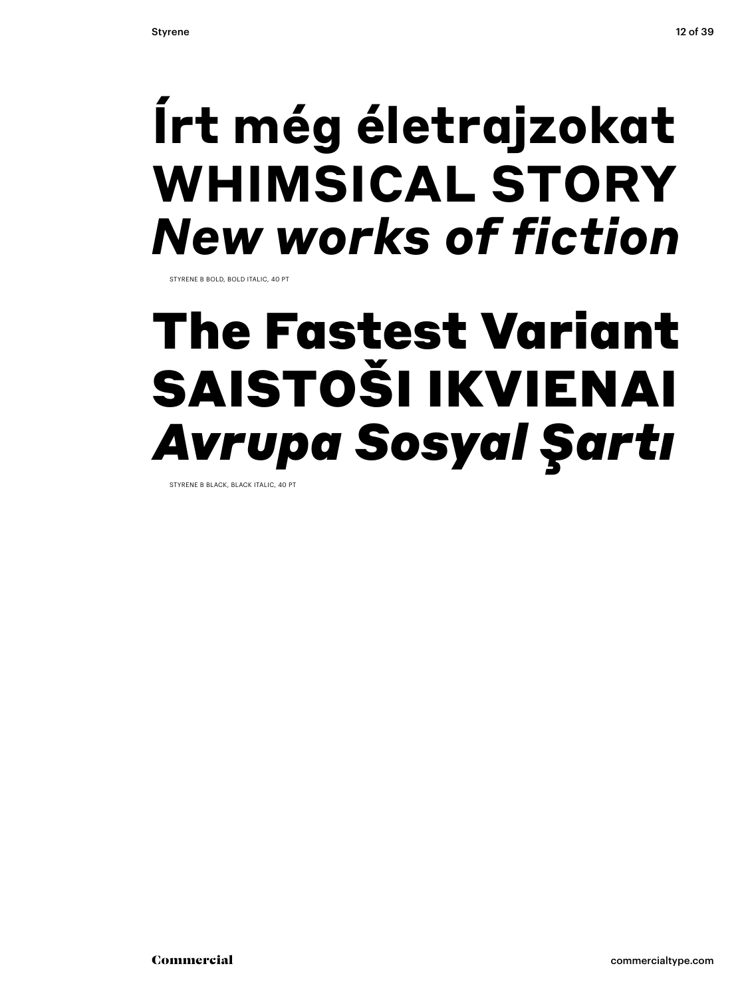## **Írt még életrajzokat WHIMSICAL STORY** *New works of fiction*

STYRENE B BOLD, BOLD ITALIC, 40 PT

## The Fastest Variant SAISTOŠI IKVIENAI *Avrupa Sosyal Şartı*

STYRENE B BLACK, BLACK ITALIC, 40 PT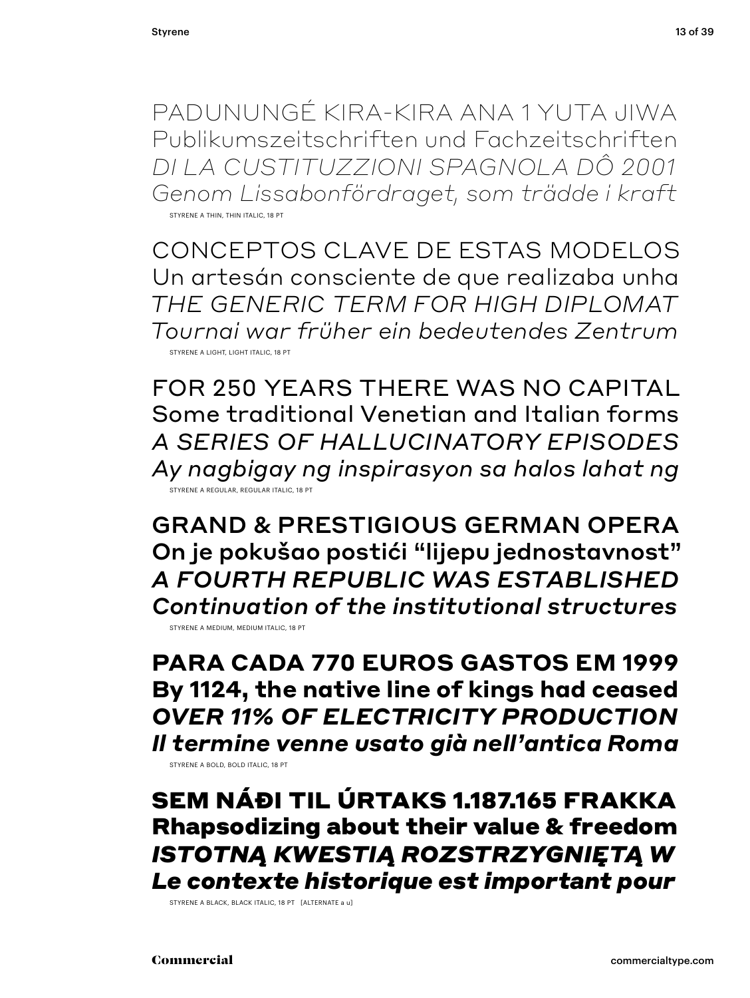PADUNUNGÉ KIRA-KIRA ANA 1 YUTA JIWA Publikumszeitschriften und Fachzeitschriften *DI LA CUSTITUZZIONI SPAGNOLA DÔ 2001 Genom Lissabonfördraget, som trädde i kraft* STYRENE A THIN, THIN ITALIC, 18 PT

CONCEPTOS CLAVE DE ESTAS MODELOS Un artesán consciente de que realizaba unha *THE GENERIC TERM FOR HIGH DIPLOMAT Tournai war früher ein bedeutendes Zentrum* STYRENE A LIGHT, LIGHT ITALIC, 18 PT

FOR 250 YEARS THERE WAS NO CAPITAL Some traditional Venetian and Italian forms *A SERIES OF HALLUCINATORY EPISODES Ay nagbigay ng inspirasyon sa halos lahat ng* STYRENE A REGULAR, REGULAR ITALIC, 18 PT

GRAND & PRESTIGIOUS GERMAN OPERA On je pokušao postići "lijepu jednostavnost" *A FOURTH REPUBLIC WAS ESTABLISHED Continuation of the institutional structures* STYRENE A MEDIUM, MEDIUM ITALIC, 18 PT

**PARA CADA 770 EUROS GASTOS EM 1999 By 1124, the native line of kings had ceased** *OVER 11% OF ELECTRICITY PRODUCTION Il termine venne usato già nell'antica Roma*

STYRENE A BOLD, BOLD ITALIC, 18 PT

SEM NÁÐI TIL ÚRTAKS 1.187.165 FRAKKA Rhapsodizing about their value & freedom *ISTOTNĄ KWESTIĄ ROZSTRZYGNIĘTĄ W Le contexte historique est important pour*

STYRENE A BLACK, BLACK ITALIC, 18 PT [ALTERNATE a u]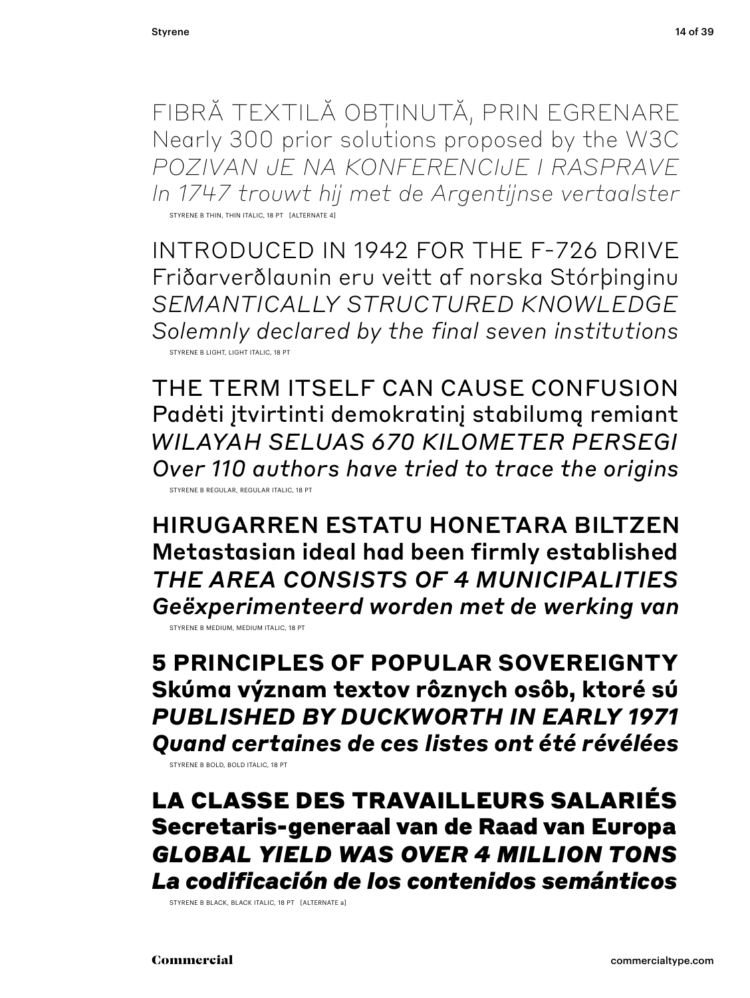FIBRĂ TEXTILĂ OBȚINUTĂ, PRIN EGRENARE Nearly 300 prior solutions proposed by the W3C *POZIVAN JE NA KONFERENCIJE I RASPRAVE In 1747 trouwt hij met de Argentijnse vertaalster* STYRENE B THIN, THIN ITALIC, 18 PT [ALTERNATE 4]

INTRODUCED IN 1942 FOR THE F-726 DRIVE Friðarverðlaunin eru veitt af norska Stórþinginu *SEMANTICALLY STRUCTURED KNOWLEDGE Solemnly declared by the final seven institutions* STYRENE B LIGHT, LIGHT ITALIC, 18 PT

THE TERM ITSELF CAN CAUSE CONFUSION Padėti įtvirtinti demokratinį stabilumą remiant *WILAYAH SELUAS 670 KILOMETER PERSEGI Over 110 authors have tried to trace the origins* STYRENE B REGULAR, REGULAR ITALIC, 18 PT

HIRUGARREN ESTATU HONETARA BILTZEN Metastasian ideal had been firmly established *THE AREA CONSISTS OF 4 MUNICIPALITIES Geëxperimenteerd worden met de werking van* STYRENE B MEDIUM, MEDIUM ITALIC, 18 PT

**5 PRINCIPLES OF POPULAR SOVEREIGNTY Skúma význam textov rôznych osôb, ktoré sú** *PUBLISHED BY DUCKWORTH IN EARLY 1971 Quand certaines de ces listes ont été révélées* STYRENE B BOLD, BOLD ITALIC, 18 PT

LA CLASSE DES TRAVAILLEURS SALARIÉS Secretaris-generaal van de Raad van Europa *GLOBAL YIELD WAS OVER 4 MILLION TONS La codificación de los contenidos semánticos*

STYRENE B BLACK, BLACK ITALIC, 18 PT [ALTERNATE a]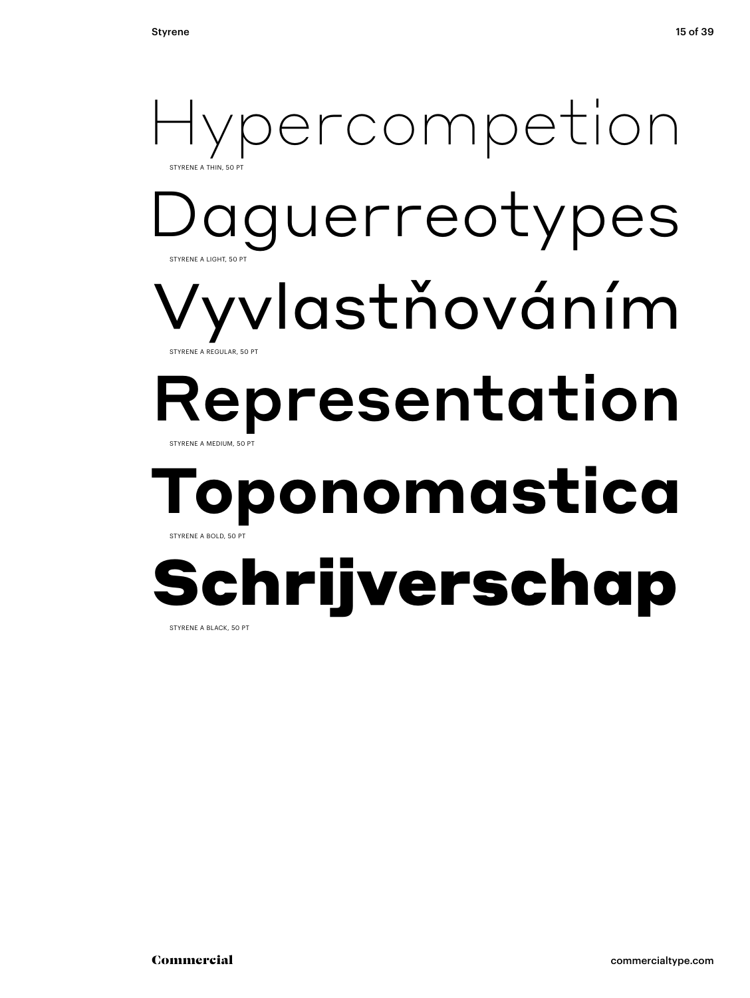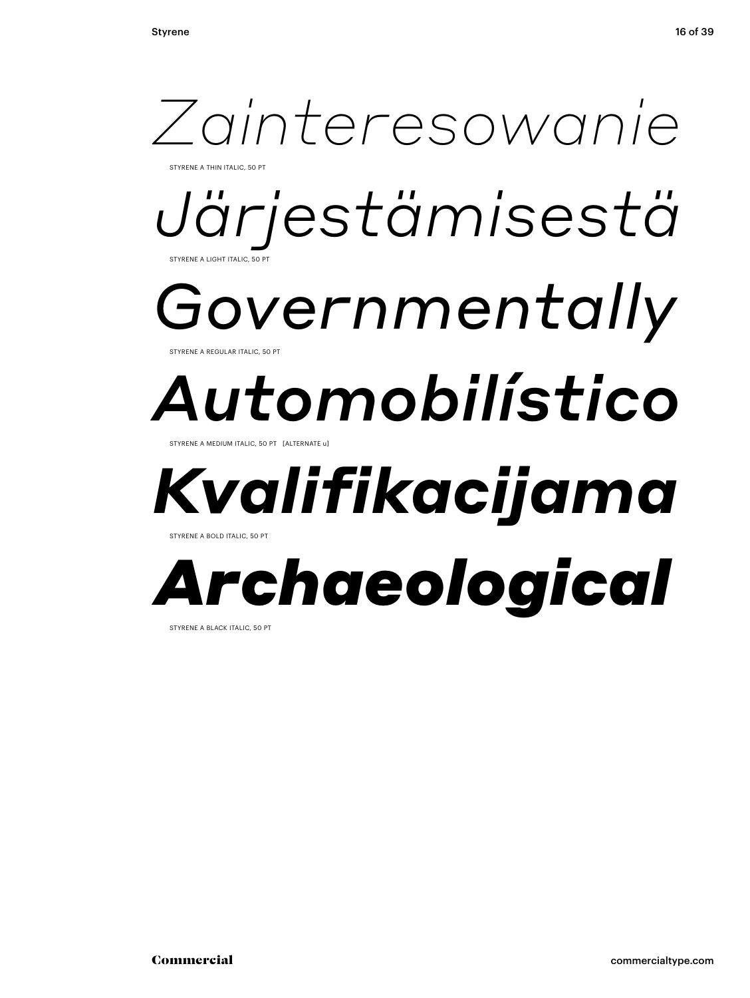

STYRENE A BLACK ITALIC, 50 PT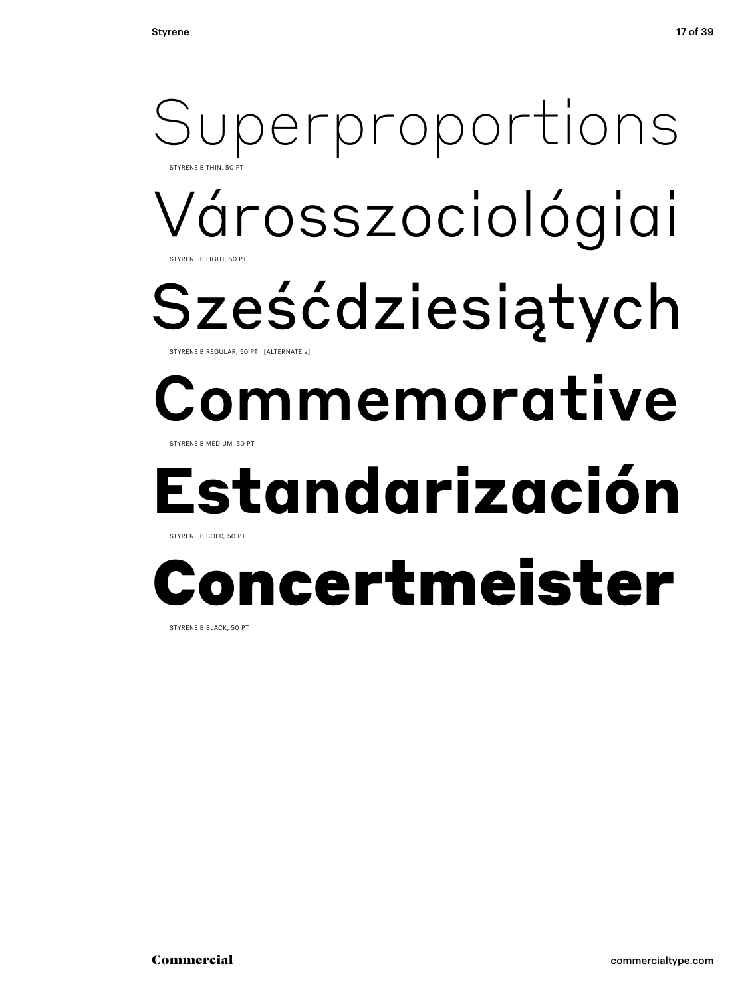## Városszociológiai Sześćdziesiątych Commemorative **Estandarización** Superproportions STYRENE B THIN, 50 PT STYRENE B LIGHT, 50 F STYRENE B REGULAR, 50 PT [ALTERNATE a] STYRENE B MEDIUM, 50 PT STYRENE B BOLD, 50 PT

# ncertmeister

STYRENE B BLACK, 50 PT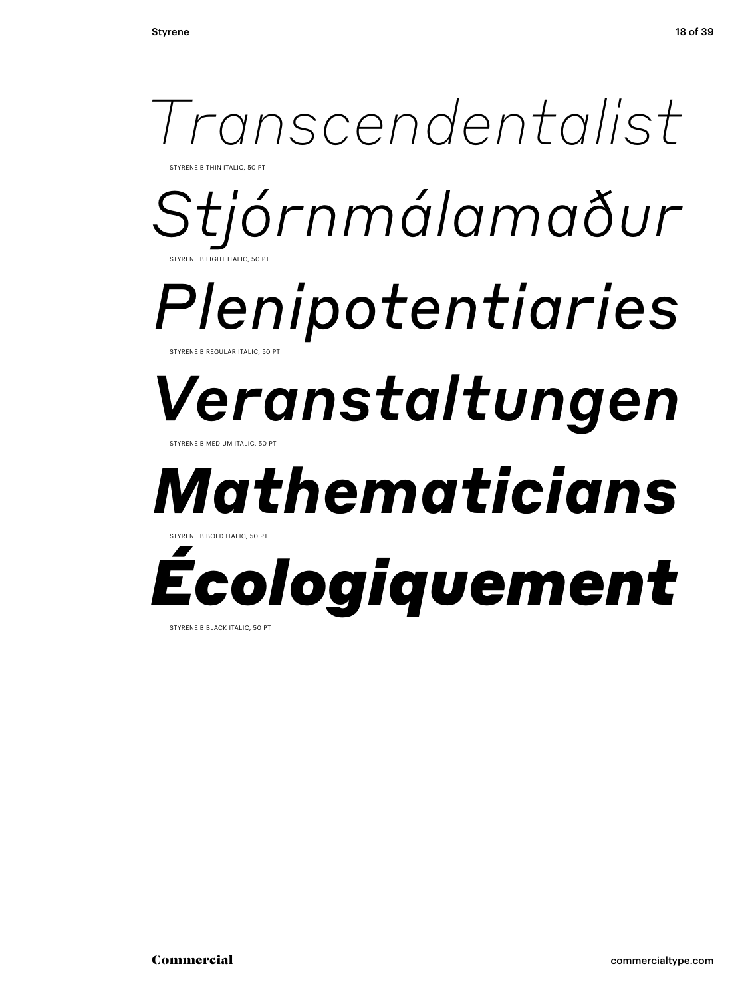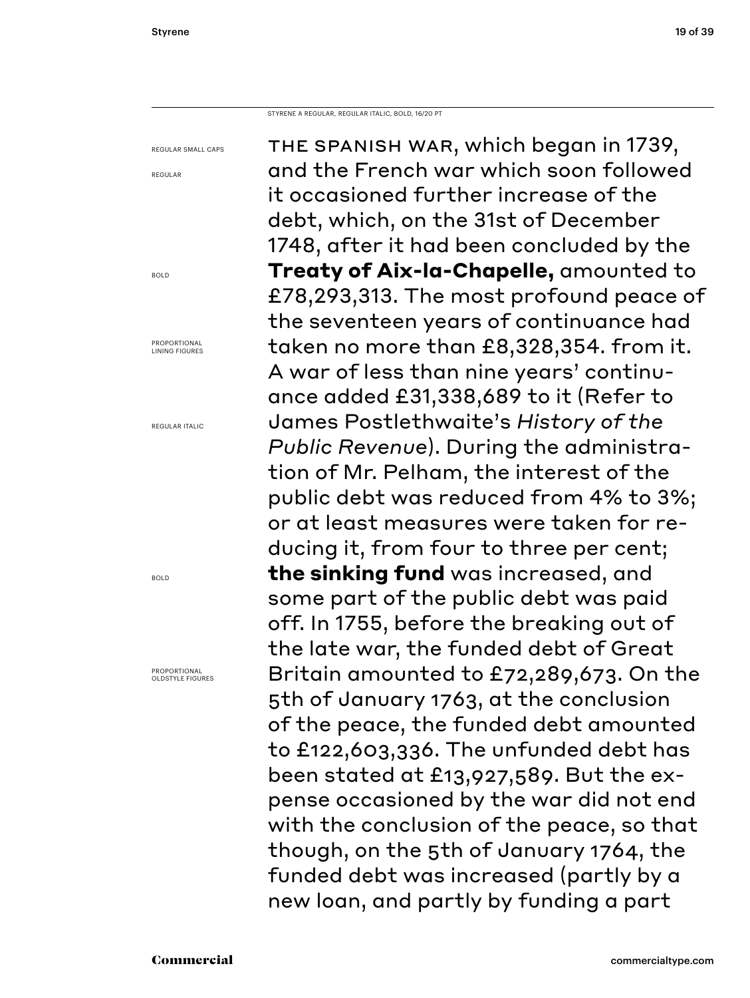REGULAR

BOLD

BOLD

STYRENE A REGULAR, REGULAR ITALIC, BOLD, 16/20 PT

REGULAR SMALL CAPS PROPORTIONAL LINING FIGURES REGULAR ITALIC PROPORTIONAL OLDSTYLE FIGURES the spanish war, which began in 1739, and the French war which soon followed it occasioned further increase of the debt, which, on the 31st of December 1748, after it had been concluded by the **Treaty of Aix-la-Chapelle,** amounted to £78,293,313. The most profound peace of the seventeen years of continuance had taken no more than £8,328,354. from it. A war of less than nine years' continuance added £31,338,689 to it (Refer to James Postlethwaite's *History of the Public Revenue*). During the administration of Mr. Pelham, the interest of the public debt was reduced from 4% to 3%; or at least measures were taken for reducing it, from four to three per cent; **the sinking fund** was increased, and some part of the public debt was paid off. In 1755, before the breaking out of the late war, the funded debt of Great Britain amounted to £72,289,673. On the 5th of January 1763, at the conclusion of the peace, the funded debt amounted to £122,603,336. The unfunded debt has been stated at £13,927,589. But the expense occasioned by the war did not end with the conclusion of the peace, so that though, on the 5th of January 1764, the funded debt was increased (partly by a new loan, and partly by funding a part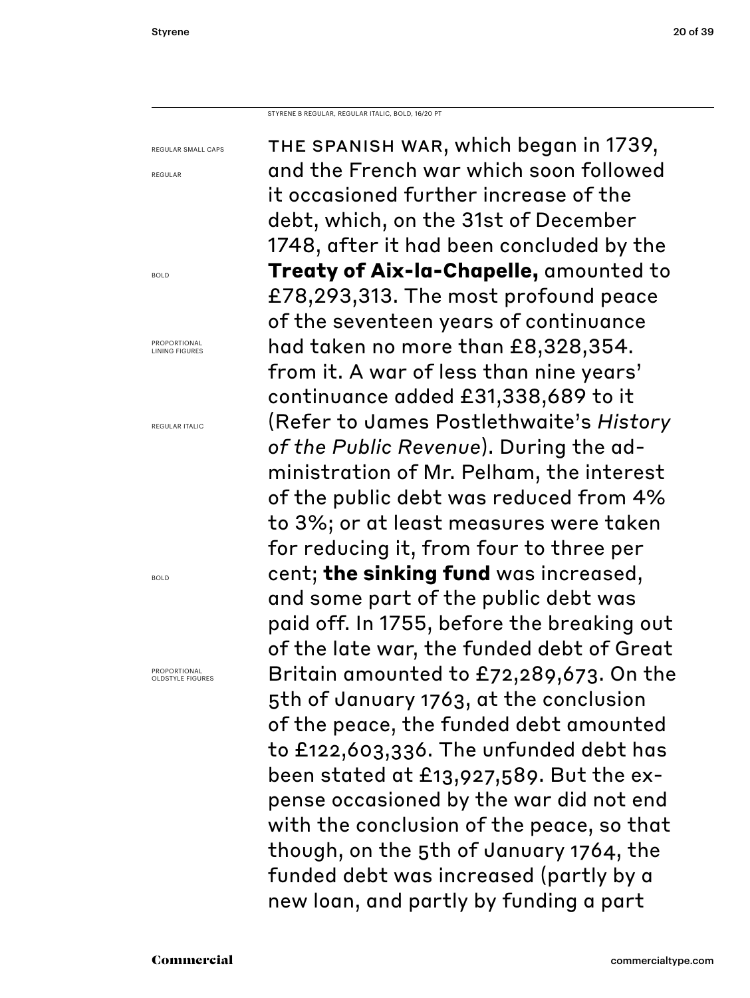REGULAR

BOLD

PROPORTIONAL LINING FIGURES

REGULAR ITALIC

BOLD

STYRENE B REGULAR, REGULAR ITALIC, BOLD, 16/20 PT

REGULAR SMALL CAPS PROPORTIONAL OLDSTYLE FIGURES the spanish war, which began in 1739, and the French war which soon followed it occasioned further increase of the debt, which, on the 31st of December 1748, after it had been concluded by the **Treaty of Aix-la-Chapelle,** amounted to £78,293,313. The most profound peace of the seventeen years of continuance had taken no more than £8,328,354. from it. A war of less than nine years' continuance added £31,338,689 to it (Refer to James Postlethwaite's *History of the Public Revenue*). During the administration of Mr. Pelham, the interest of the public debt was reduced from 4% to 3%; or at least measures were taken for reducing it, from four to three per cent; **the sinking fund** was increased, and some part of the public debt was paid off. In 1755, before the breaking out of the late war, the funded debt of Great Britain amounted to £72,289,673. On the 5th of January 1763, at the conclusion of the peace, the funded debt amounted to £122,603,336. The unfunded debt has been stated at £13,927,589. But the expense occasioned by the war did not end with the conclusion of the peace, so that though, on the 5th of January 1764, the funded debt was increased (partly by a new loan, and partly by funding a part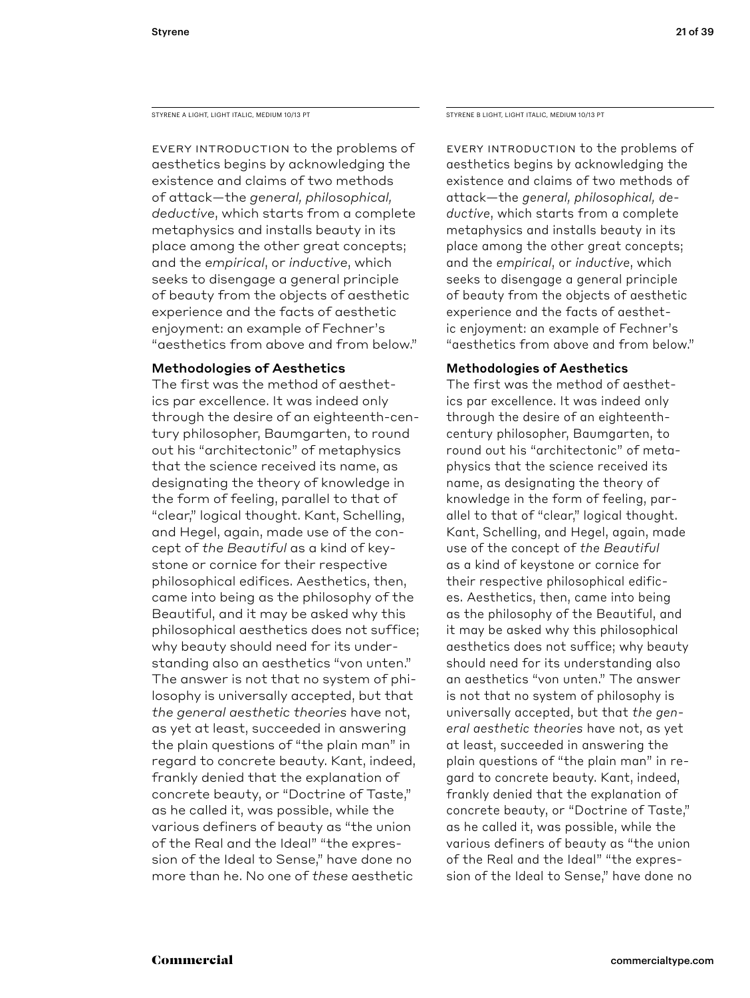Every introduction to the problems of aesthetics begins by acknowledging the existence and claims of two methods of attack—the *general, philosophical, deductive*, which starts from a complete metaphysics and installs beauty in its place among the other great concepts; and the *empirical*, or *inductive*, which seeks to disengage a general principle of beauty from the objects of aesthetic experience and the facts of aesthetic enjoyment: an example of Fechner's "aesthetics from above and from below."

## Methodologies of Aesthetics

The first was the method of aesthetics par excellence. It was indeed only through the desire of an eighteenth-century philosopher, Baumgarten, to round out his "architectonic" of metaphysics that the science received its name, as designating the theory of knowledge in the form of feeling, parallel to that of "clear," logical thought. Kant, Schelling, and Hegel, again, made use of the concept of *the Beautiful* as a kind of keystone or cornice for their respective philosophical edifices. Aesthetics, then, came into being as the philosophy of the Beautiful, and it may be asked why this philosophical aesthetics does not suffice; why beauty should need for its understanding also an aesthetics "von unten." The answer is not that no system of philosophy is universally accepted, but that *the general aesthetic theories* have not, as yet at least, succeeded in answering the plain questions of "the plain man" in regard to concrete beauty. Kant, indeed, frankly denied that the explanation of concrete beauty, or "Doctrine of Taste," as he called it, was possible, while the various definers of beauty as "the union of the Real and the Ideal" "the expression of the Ideal to Sense," have done no more than he. No one of *these* aesthetic

STYRENE A LIGHT, LIGHT ITALIC, MEDIUM 10/13 PT STYRENE B LIGHT, LIGHT ITALIC, MEDIUM 10/13 PT

Every introduction to the problems of aesthetics begins by acknowledging the existence and claims of two methods of attack—the *general, philosophical, deductive*, which starts from a complete metaphysics and installs beauty in its place among the other great concepts; and the *empirical*, or *inductive*, which seeks to disengage a general principle of beauty from the objects of aesthetic experience and the facts of aesthetic enjoyment: an example of Fechner's "aesthetics from above and from below."

## Methodologies of Aesthetics

The first was the method of aesthetics par excellence. It was indeed only through the desire of an eighteenthcentury philosopher, Baumgarten, to round out his "architectonic" of metaphysics that the science received its name, as designating the theory of knowledge in the form of feeling, parallel to that of "clear," logical thought. Kant, Schelling, and Hegel, again, made use of the concept of *the Beautiful* as a kind of keystone or cornice for their respective philosophical edifices. Aesthetics, then, came into being as the philosophy of the Beautiful, and it may be asked why this philosophical aesthetics does not suffice; why beauty should need for its understanding also an aesthetics "von unten." The answer is not that no system of philosophy is universally accepted, but that *the general aesthetic theories* have not, as yet at least, succeeded in answering the plain questions of "the plain man" in regard to concrete beauty. Kant, indeed, frankly denied that the explanation of concrete beauty, or "Doctrine of Taste," as he called it, was possible, while the various definers of beauty as "the union of the Real and the Ideal" "the expression of the Ideal to Sense," have done no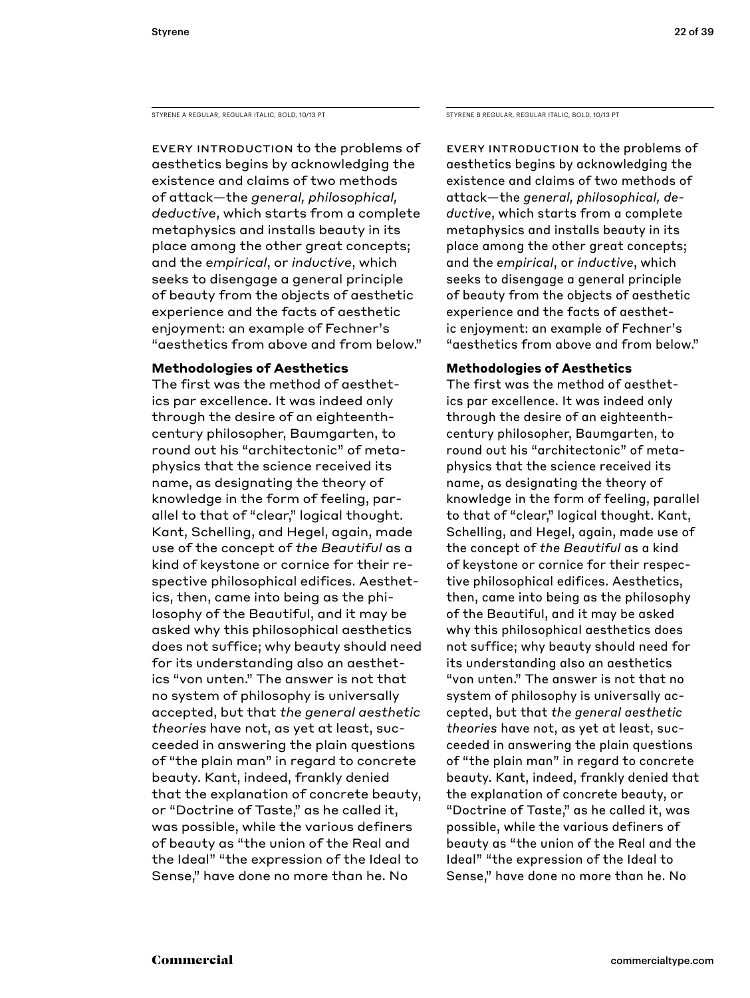STYRENE A REGULAR, REGULAR ITALIC, BOLD, 10/13 PT STYRENE B REGULAR, REGULAR ITALIC, BOLD, 10/13 PT

Every introduction to the problems of aesthetics begins by acknowledging the existence and claims of two methods of attack—the *general, philosophical, deductive*, which starts from a complete metaphysics and installs beauty in its place among the other great concepts; and the *empirical*, or *inductive*, which seeks to disengage a general principle of beauty from the objects of aesthetic experience and the facts of aesthetic enjoyment: an example of Fechner's "aesthetics from above and from below."

## **Methodologies of Aesthetics**

The first was the method of aesthetics par excellence. It was indeed only through the desire of an eighteenthcentury philosopher, Baumgarten, to round out his "architectonic" of metaphysics that the science received its name, as designating the theory of knowledge in the form of feeling, parallel to that of "clear," logical thought. Kant, Schelling, and Hegel, again, made use of the concept of *the Beautiful* as a kind of keystone or cornice for their respective philosophical edifices. Aesthetics, then, came into being as the philosophy of the Beautiful, and it may be asked why this philosophical aesthetics does not suffice; why beauty should need for its understanding also an aesthetics "von unten." The answer is not that no system of philosophy is universally accepted, but that *the general aesthetic theories* have not, as yet at least, succeeded in answering the plain questions of "the plain man" in regard to concrete beauty. Kant, indeed, frankly denied that the explanation of concrete beauty, or "Doctrine of Taste," as he called it, was possible, while the various definers of beauty as "the union of the Real and the Ideal" "the expression of the Ideal to Sense," have done no more than he. No

Every introduction to the problems of aesthetics begins by acknowledging the existence and claims of two methods of attack—the *general, philosophical, deductive*, which starts from a complete metaphysics and installs beauty in its place among the other great concepts; and the *empirical*, or *inductive*, which seeks to disengage a general principle of beauty from the objects of aesthetic experience and the facts of aesthetic enjoyment: an example of Fechner's "aesthetics from above and from below."

## **Methodologies of Aesthetics**

The first was the method of aesthetics par excellence. It was indeed only through the desire of an eighteenthcentury philosopher, Baumgarten, to round out his "architectonic" of metaphysics that the science received its name, as designating the theory of knowledge in the form of feeling, parallel to that of "clear," logical thought. Kant, Schelling, and Hegel, again, made use of the concept of *the Beautiful* as a kind of keystone or cornice for their respective philosophical edifices. Aesthetics, then, came into being as the philosophy of the Beautiful, and it may be asked why this philosophical aesthetics does not suffice; why beauty should need for its understanding also an aesthetics "von unten." The answer is not that no system of philosophy is universally accepted, but that *the general aesthetic theories* have not, as yet at least, succeeded in answering the plain questions of "the plain man" in regard to concrete beauty. Kant, indeed, frankly denied that the explanation of concrete beauty, or "Doctrine of Taste," as he called it, was possible, while the various definers of beauty as "the union of the Real and the Ideal" "the expression of the Ideal to Sense," have done no more than he. No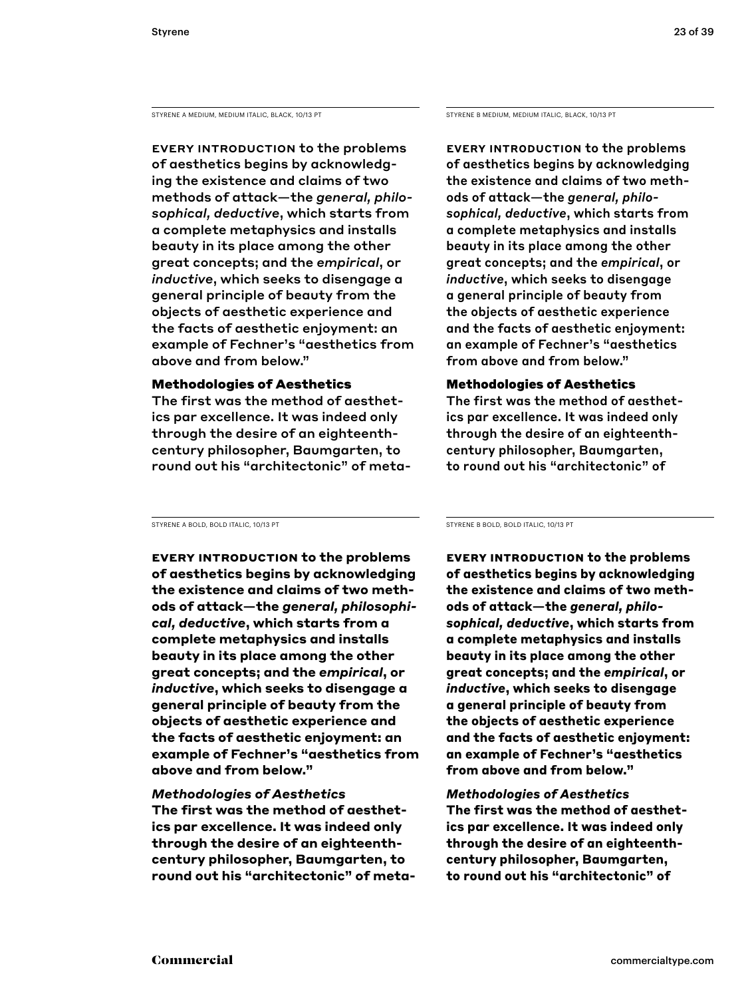STYRENE A MEDIUM, MEDIUM ITALIC, BLACK, 10/13 PT

Every introduction to the problems of aesthetics begins by acknowledging the existence and claims of two methods of attack—the *general, philosophical, deductive*, which starts from a complete metaphysics and installs beauty in its place among the other great concepts; and the *empirical*, or *inductive*, which seeks to disengage a general principle of beauty from the objects of aesthetic experience and the facts of aesthetic enjoyment: an example of Fechner's "aesthetics from above and from below."

## Methodologies of Aesthetics

The first was the method of aesthetics par excellence. It was indeed only through the desire of an eighteenthcentury philosopher, Baumgarten, to round out his "architectonic" of meta-

STYRENE A BOLD, BOLD ITALIC, 10/13 PT

**Every introduction to the problems of aesthetics begins by acknowledging the existence and claims of two methods of attack—the** *general, philosophical, deductive***, which starts from a complete metaphysics and installs beauty in its place among the other great concepts; and the** *empirical***, or**  *inductive***, which seeks to disengage a general principle of beauty from the objects of aesthetic experience and the facts of aesthetic enjoyment: an example of Fechner's "aesthetics from above and from below."** 

### *Methodologies of Aesthetics*

**The first was the method of aesthetics par excellence. It was indeed only through the desire of an eighteenthcentury philosopher, Baumgarten, to round out his "architectonic" of meta-** STYRENE B MEDIUM, MEDIUM ITALIC, BLACK, 10/13 PT

Every introduction to the problems of aesthetics begins by acknowledging the existence and claims of two methods of attack—the *general, philosophical, deductive*, which starts from a complete metaphysics and installs beauty in its place among the other great concepts; and the *empirical*, or *inductive*, which seeks to disengage a general principle of beauty from the objects of aesthetic experience and the facts of aesthetic enjoyment: an example of Fechner's "aesthetics from above and from below."

## Methodologies of Aesthetics

The first was the method of aesthetics par excellence. It was indeed only through the desire of an eighteenthcentury philosopher, Baumgarten, to round out his "architectonic" of

STYRENE B BOLD, BOLD ITALIC, 10/13 PT

**Every introduction to the problems of aesthetics begins by acknowledging the existence and claims of two methods of attack—the** *general, philosophical, deductive***, which starts from a complete metaphysics and installs beauty in its place among the other great concepts; and the** *empirical***, or**  *inductive***, which seeks to disengage a general principle of beauty from the objects of aesthetic experience and the facts of aesthetic enjoyment: an example of Fechner's "aesthetics from above and from below."** 

*Methodologies of Aesthetics* **The first was the method of aesthetics par excellence. It was indeed only through the desire of an eighteenthcentury philosopher, Baumgarten, to round out his "architectonic" of**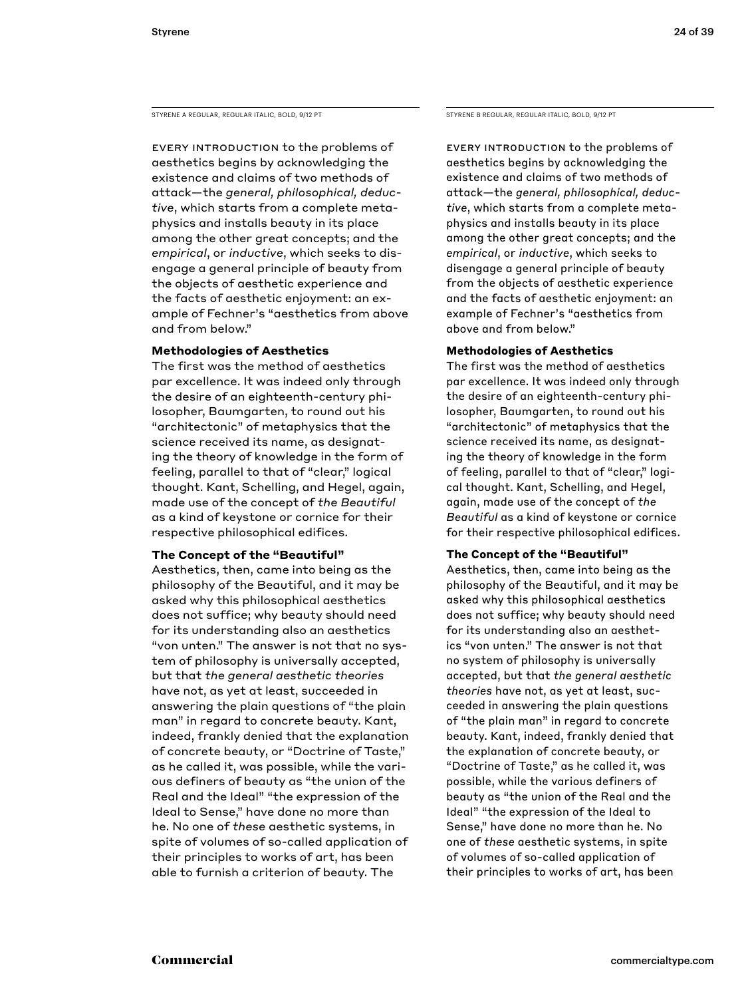STYRENE A REGULAR, REGULAR ITALIC, BOLD, 9/12 PT STYRENE B REGULAR, REGULAR ITALIC, BOLD, 9/12 PT

Every introduction to the problems of aesthetics begins by acknowledging the existence and claims of two methods of attack—the *general, philosophical, deductive*, which starts from a complete metaphysics and installs beauty in its place among the other great concepts; and the *empirical*, or *inductive*, which seeks to disengage a general principle of beauty from the objects of aesthetic experience and the facts of aesthetic enjoyment: an example of Fechner's "aesthetics from above and from below."

### **Methodologies of Aesthetics**

The first was the method of aesthetics par excellence. It was indeed only through the desire of an eighteenth-century philosopher, Baumgarten, to round out his "architectonic" of metaphysics that the science received its name, as designating the theory of knowledge in the form of feeling, parallel to that of "clear," logical thought. Kant, Schelling, and Hegel, again, made use of the concept of *the Beautiful* as a kind of keystone or cornice for their respective philosophical edifices.

### **The Concept of the "Beautiful"**

Aesthetics, then, came into being as the philosophy of the Beautiful, and it may be asked why this philosophical aesthetics does not suffice; why beauty should need for its understanding also an aesthetics "von unten." The answer is not that no system of philosophy is universally accepted, but that *the general aesthetic theories*  have not, as yet at least, succeeded in answering the plain questions of "the plain man" in regard to concrete beauty. Kant, indeed, frankly denied that the explanation of concrete beauty, or "Doctrine of Taste," as he called it, was possible, while the various definers of beauty as "the union of the Real and the Ideal" "the expression of the Ideal to Sense," have done no more than he. No one of *these* aesthetic systems, in spite of volumes of so-called application of their principles to works of art, has been able to furnish a criterion of beauty. The

Every introduction to the problems of aesthetics begins by acknowledging the existence and claims of two methods of attack—the *general, philosophical, deductive*, which starts from a complete metaphysics and installs beauty in its place among the other great concepts; and the *empirical*, or *inductive*, which seeks to disengage a general principle of beauty from the objects of aesthetic experience and the facts of aesthetic enjoyment: an example of Fechner's "aesthetics from above and from below."

### **Methodologies of Aesthetics**

The first was the method of aesthetics par excellence. It was indeed only through the desire of an eighteenth-century philosopher, Baumgarten, to round out his "architectonic" of metaphysics that the science received its name, as designating the theory of knowledge in the form of feeling, parallel to that of "clear," logical thought. Kant, Schelling, and Hegel, again, made use of the concept of *the Beautiful* as a kind of keystone or cornice for their respective philosophical edifices.

### **The Concept of the "Beautiful"**

Aesthetics, then, came into being as the philosophy of the Beautiful, and it may be asked why this philosophical aesthetics does not suffice; why beauty should need for its understanding also an aesthetics "von unten." The answer is not that no system of philosophy is universally accepted, but that *the general aesthetic theories* have not, as yet at least, succeeded in answering the plain questions of "the plain man" in regard to concrete beauty. Kant, indeed, frankly denied that the explanation of concrete beauty, or "Doctrine of Taste," as he called it, was possible, while the various definers of beauty as "the union of the Real and the Ideal" "the expression of the Ideal to Sense," have done no more than he. No one of *these* aesthetic systems, in spite of volumes of so-called application of their principles to works of art, has been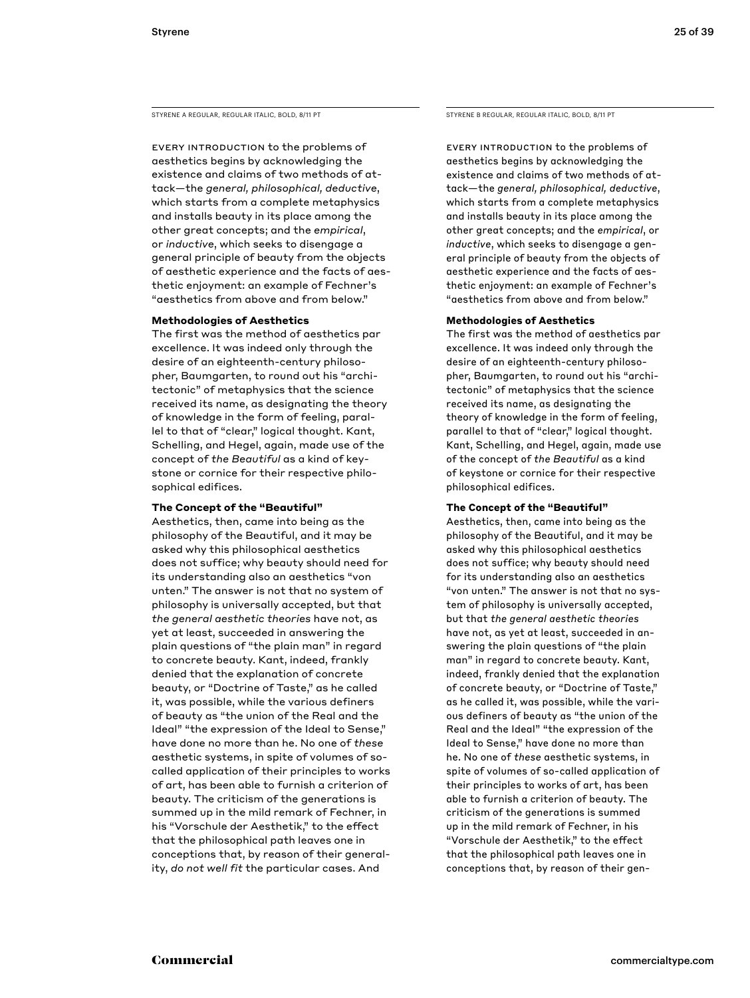STYRENE A REGULAR, REGULAR ITALIC, BOLD, 8/11 PT STYRENE B REGULAR, REGULAR ITALIC, BOLD, 8/11 PT

Every introduction to the problems of aesthetics begins by acknowledging the existence and claims of two methods of attack—the *general, philosophical, deductive*, which starts from a complete metaphysics and installs beauty in its place among the other great concepts; and the *empirical*, or *inductive*, which seeks to disengage a general principle of beauty from the objects of aesthetic experience and the facts of aesthetic enjoyment: an example of Fechner's "aesthetics from above and from below."

#### **Methodologies of Aesthetics**

The first was the method of aesthetics par excellence. It was indeed only through the desire of an eighteenth-century philosopher, Baumgarten, to round out his "architectonic" of metaphysics that the science received its name, as designating the theory of knowledge in the form of feeling, parallel to that of "clear," logical thought. Kant, Schelling, and Hegel, again, made use of the concept of *the Beautiful* as a kind of keystone or cornice for their respective philosophical edifices.

### **The Concept of the "Beautiful"**

Aesthetics, then, came into being as the philosophy of the Beautiful, and it may be asked why this philosophical aesthetics does not suffice; why beauty should need for its understanding also an aesthetics "von unten." The answer is not that no system of philosophy is universally accepted, but that *the general aesthetic theories* have not, as yet at least, succeeded in answering the plain questions of "the plain man" in regard to concrete beauty. Kant, indeed, frankly denied that the explanation of concrete beauty, or "Doctrine of Taste," as he called it, was possible, while the various definers of beauty as "the union of the Real and the Ideal" "the expression of the Ideal to Sense," have done no more than he. No one of *these* aesthetic systems, in spite of volumes of socalled application of their principles to works of art, has been able to furnish a criterion of beauty. The criticism of the generations is summed up in the mild remark of Fechner, in his "Vorschule der Aesthetik," to the effect that the philosophical path leaves one in conceptions that, by reason of their generality, *do not well fit* the particular cases. And

Every introduction to the problems of aesthetics begins by acknowledging the existence and claims of two methods of attack—the *general, philosophical, deductive*, which starts from a complete metaphysics and installs beauty in its place among the other great concepts; and the *empirical*, or *inductive*, which seeks to disengage a general principle of beauty from the objects of aesthetic experience and the facts of aesthetic enjoyment: an example of Fechner's "aesthetics from above and from below."

#### **Methodologies of Aesthetics**

The first was the method of aesthetics par excellence. It was indeed only through the desire of an eighteenth-century philosopher, Baumgarten, to round out his "architectonic" of metaphysics that the science received its name, as designating the theory of knowledge in the form of feeling, parallel to that of "clear," logical thought. Kant, Schelling, and Hegel, again, made use of the concept of *the Beautiful* as a kind of keystone or cornice for their respective philosophical edifices.

### **The Concept of the "Beautiful"**

Aesthetics, then, came into being as the philosophy of the Beautiful, and it may be asked why this philosophical aesthetics does not suffice; why beauty should need for its understanding also an aesthetics "von unten." The answer is not that no system of philosophy is universally accepted, but that *the general aesthetic theories*  have not, as yet at least, succeeded in answering the plain questions of "the plain man" in regard to concrete beauty. Kant, indeed, frankly denied that the explanation of concrete beauty, or "Doctrine of Taste," as he called it, was possible, while the various definers of beauty as "the union of the Real and the Ideal" "the expression of the Ideal to Sense," have done no more than he. No one of *these* aesthetic systems, in spite of volumes of so-called application of their principles to works of art, has been able to furnish a criterion of beauty. The criticism of the generations is summed up in the mild remark of Fechner, in his "Vorschule der Aesthetik," to the effect that the philosophical path leaves one in conceptions that, by reason of their gen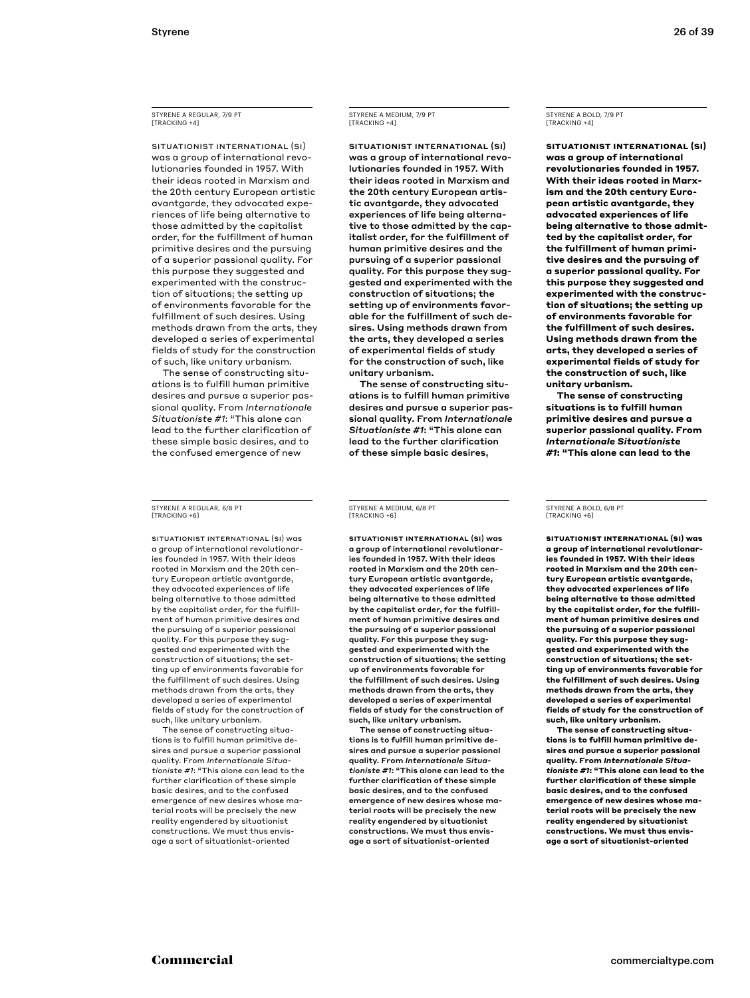STYRENE A REGULAR, 7/9 PT [TRACKING +4]

SITUATIONIST INTERNATIONAL (SI) was a group of international revolutionaries founded in 1957. With their ideas rooted in Marxism and the 20th century European artistic avantgarde, they advocated experiences of life being alternative to those admitted by the capitalist order, for the fulfillment of human primitive desires and the pursuing of a superior passional quality. For this purpose they suggested and experimented with the construction of situations; the setting up of environments favorable for the fulfillment of such desires. Using methods drawn from the arts, they developed a series of experimental fields of study for the construction of such, like unitary urbanism.

The sense of constructing situations is to fulfill human primitive desires and pursue a superior passional quality. From *Internationale Situationiste #1*: "This alone can lead to the further clarification of these simple basic desires, and to the confused emergence of new

STYRENE A REGULAR, 6/8 PT [TRACKING +6]

SITUATIONIST INTERNATIONAL (SI) was a group of international revolutionaries founded in 1957. With their ideas rooted in Marxism and the 20th century European artistic avantgarde, they advocated experiences of life being alternative to those admitted by the capitalist order, for the fulfillment of human primitive desires and the pursuing of a superior passional quality. For this purpose they suggested and experimented with the construction of situations; the setting up of environments favorable for the fulfillment of such desires. Using methods drawn from the arts, they developed a series of experimental fields of study for the construction of such, like unitary urbanism.

The sense of constructing situations is to fulfill human primitive desires and pursue a superior passional quality. From *Internationale Situationiste #1*: "This alone can lead to the further clarification of these simple basic desires, and to the confused emergence of new desires whose material roots will be precisely the new reality engendered by situationist constructions. We must thus envisage a sort of situationist-oriented

## STYRENE A MEDIUM, 7/9 PT [TRACKING +4]

SITUATIONIST INTERNATIONAL (SI) was a group of international revolutionaries founded in 1957. With their ideas rooted in Marxism and the 20th century European artistic avantgarde, they advocated experiences of life being alternative to those admitted by the capitalist order, for the fulfillment of human primitive desires and the pursuing of a superior passional quality. For this purpose they suggested and experimented with the construction of situations; the setting up of environments favorable for the fulfillment of such desires. Using methods drawn from the arts, they developed a series of experimental fields of study for the construction of such, like unitary urbanism.

The sense of constructing situations is to fulfill human primitive desires and pursue a superior passional quality. From *Internationale Situationiste #1*: "This alone can lead to the further clarification of these simple basic desires,

STYRENE A MEDIUM, 6/8 PT [TRACKING +6]

SITUATIONIST INTERNATIONAL (SI) was a group of international revolutionaries founded in 1957. With their ideas rooted in Marxism and the 20th century European artistic avantgarde, they advocated experiences of life being alternative to those admitted by the capitalist order, for the fulfillment of human primitive desires and the pursuing of a superior passional quality. For this purpose they suggested and experimented with the construction of situations; the setting up of environments favorable for the fulfillment of such desires. Using methods drawn from the arts, they developed a series of experimental fields of study for the construction of such, like unitary urbanism.

The sense of constructing situations is to fulfill human primitive desires and pursue a superior passional quality. From *Internationale Situationiste #1*: "This alone can lead to the further clarification of these simple basic desires, and to the confused emergence of new desires whose material roots will be precisely the new reality engendered by situationist constructions. We must thus envisage a sort of situationist-oriented

STYRENE A BOLD, 7/9 PT [TRACKING +4]

**SITUATIONIST INTERNATIONAL (SI) was a group of international revolutionaries founded in 1957. With their ideas rooted in Marxism and the 20th century European artistic avantgarde, they advocated experiences of life being alternative to those admitted by the capitalist order, for the fulfillment of human primitive desires and the pursuing of a superior passional quality. For this purpose they suggested and experimented with the construction of situations; the setting up of environments favorable for the fulfillment of such desires. Using methods drawn from the arts, they developed a series of experimental fields of study for the construction of such, like unitary urbanism.**

**The sense of constructing situations is to fulfill human primitive desires and pursue a superior passional quality. From**  *Internationale Situationiste #1***: "This alone can lead to the** 

#### STYRENE A BOLD, 6/8 PT [TRACKING +6]

**SITUATIONIST INTERNATIONAL (SI) was a group of international revolutionaries founded in 1957. With their ideas rooted in Marxism and the 20th century European artistic avantgarde, they advocated experiences of life being alternative to those admitted by the capitalist order, for the fulfillment of human primitive desires and the pursuing of a superior passional quality. For this purpose they suggested and experimented with the construction of situations; the setting up of environments favorable for the fulfillment of such desires. Using methods drawn from the arts, they developed a series of experimental fields of study for the construction of such, like unitary urbanism.**

**The sense of constructing situations is to fulfill human primitive desires and pursue a superior passional quality. From** *Internationale Situationiste #1***: "This alone can lead to the further clarification of these simple basic desires, and to the confused emergence of new desires whose material roots will be precisely the new reality engendered by situationist constructions. We must thus envisage a sort of situationist-oriented**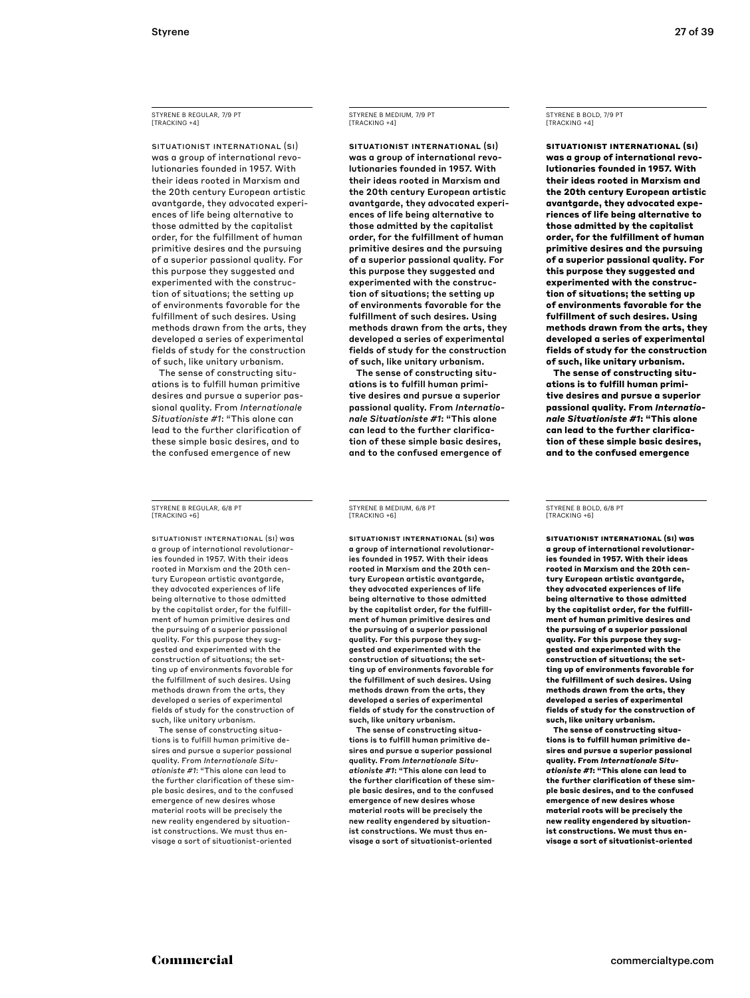STYRENE B REGULAR, 7/9 PT [TRACKING +4]

SITUATIONIST INTERNATIONAL (SI) was a group of international revolutionaries founded in 1957. With their ideas rooted in Marxism and the 20th century European artistic avantgarde, they advocated experiences of life being alternative to those admitted by the capitalist order, for the fulfillment of human primitive desires and the pursuing of a superior passional quality. For this purpose they suggested and experimented with the construction of situations; the setting up of environments favorable for the fulfillment of such desires. Using methods drawn from the arts, they developed a series of experimental fields of study for the construction of such, like unitary urbanism.

The sense of constructing situations is to fulfill human primitive desires and pursue a superior passional quality. From *Internationale Situationiste #1*: "This alone can lead to the further clarification of these simple basic desires, and to the confused emergence of new

STYRENE B REGULAR, 6/8 PT [TRACKING +6]

SITUATIONIST INTERNATIONAL (SI) was a group of international revolutionaries founded in 1957. With their ideas rooted in Marxism and the 20th century European artistic avantgarde, they advocated experiences of life being alternative to those admitted by the capitalist order, for the fulfillment of human primitive desires and the pursuing of a superior passional quality. For this purpose they suggested and experimented with the construction of situations; the setting up of environments favorable for the fulfillment of such desires. Using methods drawn from the arts, they developed a series of experimental fields of study for the construction of such, like unitary urbanism.

The sense of constructing situations is to fulfill human primitive desires and pursue a superior passional quality. From *Internationale Situationiste #1*: "This alone can lead to the further clarification of these simple basic desires, and to the confused emergence of new desires whose material roots will be precisely the new reality engendered by situationist constructions. We must thus envisage a sort of situationist-oriented

## STYRENE B MEDIUM, 7/9 PT [TRACKING +4]

SITUATIONIST INTERNATIONAL (SI) was a group of international revolutionaries founded in 1957. With their ideas rooted in Marxism and the 20th century European artistic avantgarde, they advocated experiences of life being alternative to those admitted by the capitalist order, for the fulfillment of human primitive desires and the pursuing of a superior passional quality. For this purpose they suggested and experimented with the construction of situations; the setting up of environments favorable for the fulfillment of such desires. Using methods drawn from the arts, they developed a series of experimental fields of study for the construction of such, like unitary urbanism.

The sense of constructing situations is to fulfill human primitive desires and pursue a superior passional quality. From *Internationale Situationiste #1*: "This alone can lead to the further clarification of these simple basic desires, and to the confused emergence of

STYRENE B MEDIUM, 6/8 PT [TRACKING +6]

SITUATIONIST INTERNATIONAL (SI) was a group of international revolutionaries founded in 1957. With their ideas rooted in Marxism and the 20th century European artistic avantgarde, they advocated experiences of life being alternative to those admitted by the capitalist order, for the fulfillment of human primitive desires and the pursuing of a superior passional quality. For this purpose they suggested and experimented with the construction of situations; the setting up of environments favorable for the fulfillment of such desires. Using methods drawn from the arts, they developed a series of experimental fields of study for the construction of such, like unitary urbanism.

The sense of constructing situations is to fulfill human primitive desires and pursue a superior passional quality. From *Internationale Situationiste #1*: "This alone can lead to the further clarification of these simple basic desires, and to the confused emergence of new desires whose material roots will be precisely the new reality engendered by situationist constructions. We must thus envisage a sort of situationist-oriented

## STYRENE B BOLD, 7/9 PT [TRACKING +4]

**SITUATIONIST INTERNATIONAL (SI) was a group of international revolutionaries founded in 1957. With their ideas rooted in Marxism and the 20th century European artistic avantgarde, they advocated experiences of life being alternative to those admitted by the capitalist order, for the fulfillment of human primitive desires and the pursuing of a superior passional quality. For this purpose they suggested and experimented with the construction of situations; the setting up of environments favorable for the fulfillment of such desires. Using methods drawn from the arts, they developed a series of experimental fields of study for the construction of such, like unitary urbanism.**

**The sense of constructing situations is to fulfill human primitive desires and pursue a superior passional quality. From** *Internationale Situationiste #1***: "This alone can lead to the further clarification of these simple basic desires, and to the confused emergence** 

STYRENE B BOLD, 6/8 PT [TRACKING +6]

**SITUATIONIST INTERNATIONAL (SI) was a group of international revolutionaries founded in 1957. With their ideas rooted in Marxism and the 20th century European artistic avantgarde, they advocated experiences of life being alternative to those admitted by the capitalist order, for the fulfillment of human primitive desires and the pursuing of a superior passional quality. For this purpose they suggested and experimented with the construction of situations; the setting up of environments favorable for the fulfillment of such desires. Using methods drawn from the arts, they developed a series of experimental fields of study for the construction of such, like unitary urbanism.**

**The sense of constructing situations is to fulfill human primitive desires and pursue a superior passional quality. From** *Internationale Situationiste #1***: "This alone can lead to the further clarification of these simple basic desires, and to the confused emergence of new desires whose material roots will be precisely the new reality engendered by situationist constructions. We must thus envisage a sort of situationist-oriented**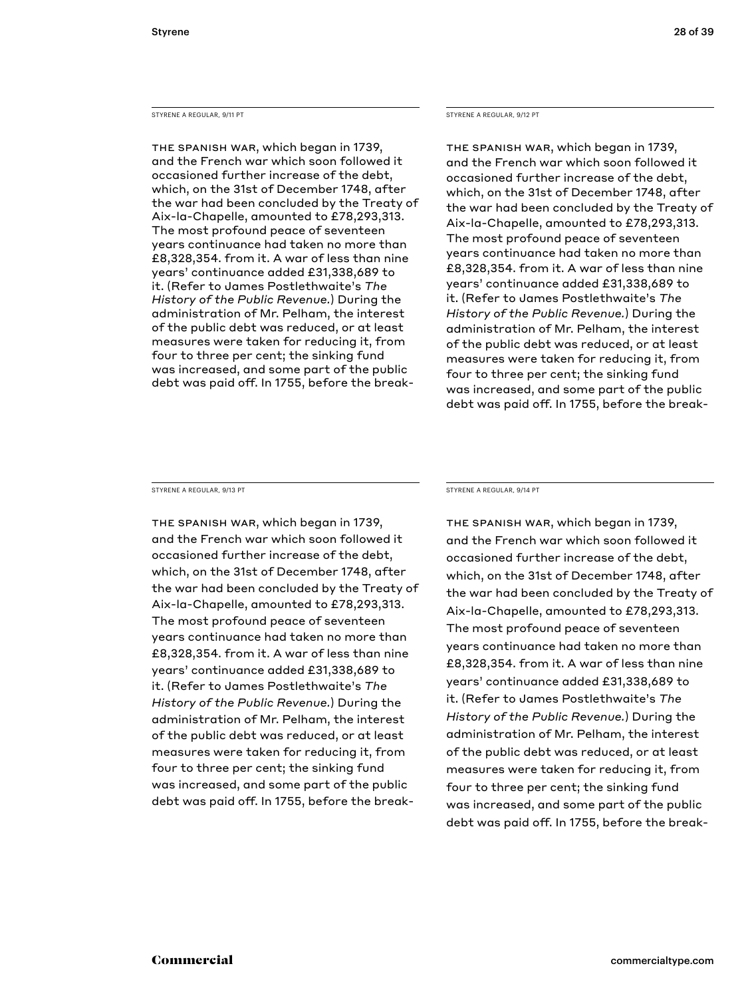#### STYRENE A REGULAR, 9/11 PT

The Spanish War, which began in 1739, and the French war which soon followed it occasioned further increase of the debt, which, on the 31st of December 1748, after the war had been concluded by the Treaty of Aix-la-Chapelle, amounted to £78,293,313. The most profound peace of seventeen years continuance had taken no more than £8,328,354. from it. A war of less than nine years' continuance added £31,338,689 to it. (Refer to James Postlethwaite's *The History of the Public Revenue.*) During the administration of Mr. Pelham, the interest of the public debt was reduced, or at least measures were taken for reducing it, from four to three per cent; the sinking fund was increased, and some part of the public debt was paid off. In 1755, before the breakSTYRENE A REGULAR, 9/12 PT

The Spanish War, which began in 1739, and the French war which soon followed it occasioned further increase of the debt, which, on the 31st of December 1748, after the war had been concluded by the Treaty of Aix-la-Chapelle, amounted to £78,293,313. The most profound peace of seventeen years continuance had taken no more than £8,328,354. from it. A war of less than nine years' continuance added £31,338,689 to it. (Refer to James Postlethwaite's *The History of the Public Revenue.*) During the administration of Mr. Pelham, the interest of the public debt was reduced, or at least measures were taken for reducing it, from four to three per cent; the sinking fund was increased, and some part of the public debt was paid off. In 1755, before the break-

STYRENE A REGULAR, 9/13 PT

The Spanish War, which began in 1739, and the French war which soon followed it occasioned further increase of the debt, which, on the 31st of December 1748, after the war had been concluded by the Treaty of Aix-la-Chapelle, amounted to £78,293,313. The most profound peace of seventeen years continuance had taken no more than £8,328,354. from it. A war of less than nine years' continuance added £31,338,689 to it. (Refer to James Postlethwaite's *The History of the Public Revenue.*) During the administration of Mr. Pelham, the interest of the public debt was reduced, or at least measures were taken for reducing it, from four to three per cent; the sinking fund was increased, and some part of the public debt was paid off. In 1755, before the breakSTYRENE A REGULAR, 9/14 PT

The Spanish War, which began in 1739, and the French war which soon followed it occasioned further increase of the debt, which, on the 31st of December 1748, after the war had been concluded by the Treaty of Aix-la-Chapelle, amounted to £78,293,313. The most profound peace of seventeen years continuance had taken no more than £8,328,354. from it. A war of less than nine years' continuance added £31,338,689 to it. (Refer to James Postlethwaite's *The History of the Public Revenue.*) During the administration of Mr. Pelham, the interest of the public debt was reduced, or at least measures were taken for reducing it, from four to three per cent; the sinking fund was increased, and some part of the public debt was paid off. In 1755, before the break-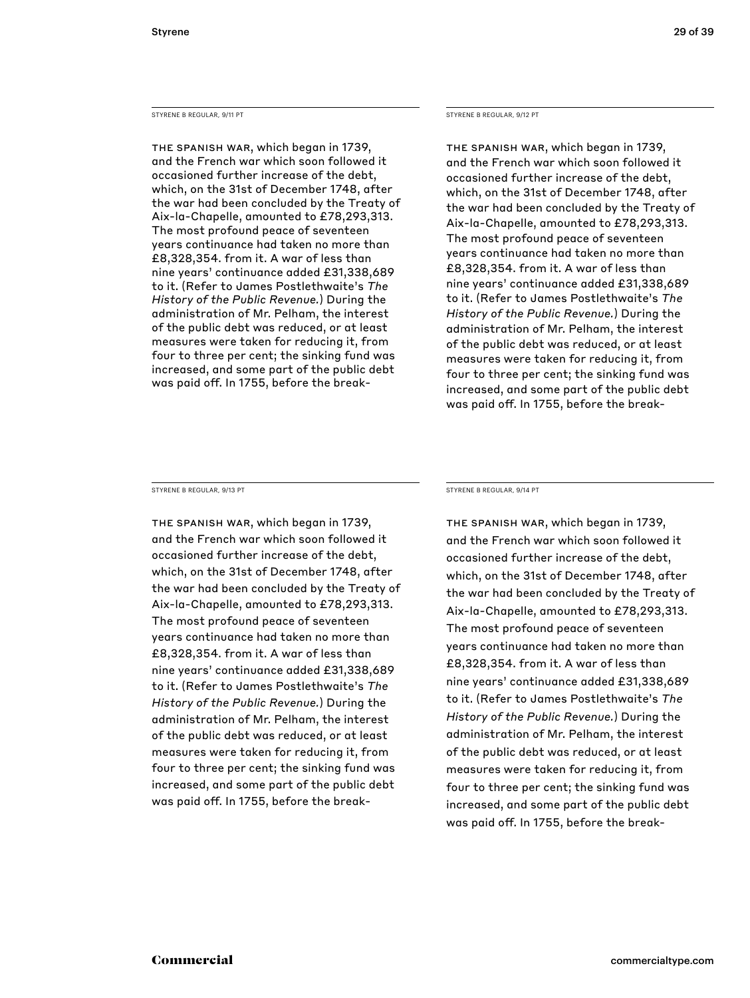#### STYRENE B REGULAR, 9/11 PT

The Spanish War, which began in 1739, and the French war which soon followed it occasioned further increase of the debt, which, on the 31st of December 1748, after the war had been concluded by the Treaty of Aix-la-Chapelle, amounted to £78,293,313. The most profound peace of seventeen years continuance had taken no more than £8,328,354. from it. A war of less than nine years' continuance added £31,338,689 to it. (Refer to James Postlethwaite's *The History of the Public Revenue.*) During the administration of Mr. Pelham, the interest of the public debt was reduced, or at least measures were taken for reducing it, from four to three per cent; the sinking fund was increased, and some part of the public debt was paid off. In 1755, before the break-

#### STYRENE B REGULAR, 9/12 PT

The Spanish War, which began in 1739, and the French war which soon followed it occasioned further increase of the debt, which, on the 31st of December 1748, after the war had been concluded by the Treaty of Aix-la-Chapelle, amounted to £78,293,313. The most profound peace of seventeen years continuance had taken no more than £8,328,354. from it. A war of less than nine years' continuance added £31,338,689 to it. (Refer to James Postlethwaite's *The History of the Public Revenue.*) During the administration of Mr. Pelham, the interest of the public debt was reduced, or at least measures were taken for reducing it, from four to three per cent; the sinking fund was increased, and some part of the public debt was paid off. In 1755, before the break-

STYRENE B REGULAR, 9/13 PT

The Spanish War, which began in 1739, and the French war which soon followed it occasioned further increase of the debt, which, on the 31st of December 1748, after the war had been concluded by the Treaty of Aix-la-Chapelle, amounted to £78,293,313. The most profound peace of seventeen years continuance had taken no more than £8,328,354. from it. A war of less than nine years' continuance added £31,338,689 to it. (Refer to James Postlethwaite's *The History of the Public Revenue.*) During the administration of Mr. Pelham, the interest of the public debt was reduced, or at least measures were taken for reducing it, from four to three per cent; the sinking fund was increased, and some part of the public debt was paid off. In 1755, before the breakSTYRENE B REGULAR, 9/14 PT

The Spanish War, which began in 1739, and the French war which soon followed it occasioned further increase of the debt, which, on the 31st of December 1748, after the war had been concluded by the Treaty of Aix-la-Chapelle, amounted to £78,293,313. The most profound peace of seventeen years continuance had taken no more than £8,328,354. from it. A war of less than nine years' continuance added £31,338,689 to it. (Refer to James Postlethwaite's *The History of the Public Revenue.*) During the administration of Mr. Pelham, the interest of the public debt was reduced, or at least measures were taken for reducing it, from four to three per cent; the sinking fund was increased, and some part of the public debt was paid off. In 1755, before the break-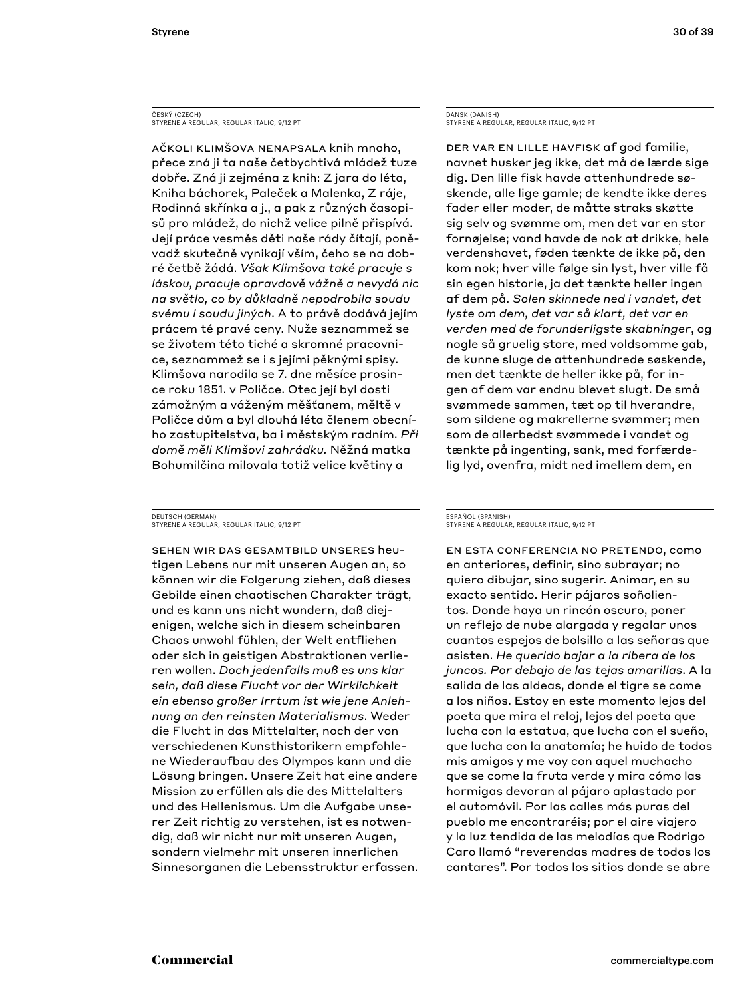### ČESKÝ (CZECH) STYRENE A REGULAR, REGULAR ITALIC, 9/12 PT

Ačkoli klimšova nenapsala knih mnoho, přece zná ji ta naše četbychtivá mládež tuze dobře. Zná ji zejména z knih: Z jara do léta, Kniha báchorek, Paleček a Malenka, Z ráje, Rodinná skřínka a j., a pak z různých časopisů pro mládež, do nichž velice pilně přispívá. Její práce vesměs děti naše rády čítají, poněvadž skutečně vynikají vším, čeho se na dobré četbě žádá. *Však Klimšova také pracuje s láskou, pracuje opravdově vážně a nevydá nic na světlo, co by důkladně nepodrobila soudu svému i soudu jiných*. A to právě dodává jejím prácem té pravé ceny. Nuže seznammež se se životem této tiché a skromné pracovnice, seznammež se i s jejími pěknými spisy. Klimšova narodila se 7. dne měsíce prosince roku 1851. v Poličce. Otec její byl dosti zámožným a váženým měšťanem, měltě v Poličce dům a byl dlouhá léta členem obecního zastupitelstva, ba i městským radním. *Při domě měli Klimšovi zahrádku.* Něžná matka Bohumilčina milovala totiž velice květiny a

#### DEUTSCH (GERMAN) STYRENE A REGULAR, REGULAR ITALIC, 9/12 PT

Sehen wir das Gesamtbild unseres heutigen Lebens nur mit unseren Augen an, so können wir die Folgerung ziehen, daß dieses Gebilde einen chaotischen Charakter trägt, und es kann uns nicht wundern, daß diejenigen, welche sich in diesem scheinbaren Chaos unwohl fühlen, der Welt entfliehen oder sich in geistigen Abstraktionen verlieren wollen. *Doch jedenfalls muß es uns klar sein, daß diese Flucht vor der Wirklichkeit ein ebenso großer Irrtum ist wie jene Anlehnung an den reinsten Materialismus*. Weder die Flucht in das Mittelalter, noch der von verschiedenen Kunsthistorikern empfohlene Wiederaufbau des Olympos kann und die Lösung bringen. Unsere Zeit hat eine andere Mission zu erfüllen als die des Mittelalters und des Hellenismus. Um die Aufgabe unserer Zeit richtig zu verstehen, ist es notwendig, daß wir nicht nur mit unseren Augen, sondern vielmehr mit unseren innerlichen Sinnesorganen die Lebensstruktur erfassen.

DANSK (DANISH) STYRENE A REGULAR, REGULAR ITALIC, 9/12 PT

Der var en lille havfisk af god familie, navnet husker jeg ikke, det må de lærde sige dig. Den lille fisk havde attenhundrede søskende, alle lige gamle; de kendte ikke deres fader eller moder, de måtte straks skøtte sig selv og svømme om, men det var en stor fornøjelse; vand havde de nok at drikke, hele verdenshavet, føden tænkte de ikke på, den kom nok; hver ville følge sin lyst, hver ville få sin egen historie, ja det tænkte heller ingen af dem på. *Solen skinnede ned i vandet, det lyste om dem, det var så klart, det var en verden med de forunderligste skabninger*, og nogle så gruelig store, med voldsomme gab, de kunne sluge de attenhundrede søskende, men det tænkte de heller ikke på, for ingen af dem var endnu blevet slugt. De små svømmede sammen, tæt op til hverandre, som sildene og makrellerne svømmer; men som de allerbedst svømmede i vandet og tænkte på ingenting, sank, med forfærdelig lyd, ovenfra, midt ned imellem dem, en

#### ESPAÑOL (SPANISH) STYRENE A REGULAR, REGULAR ITALIC, 9/12 PT

En esta conferencia no pretendo, como en anteriores, definir, sino subrayar; no quiero dibujar, sino sugerir. Animar, en su exacto sentido. Herir pájaros soñolientos. Donde haya un rincón oscuro, poner un reflejo de nube alargada y regalar unos cuantos espejos de bolsillo a las señoras que asisten. *He querido bajar a la ribera de los juncos. Por debajo de las tejas amarillas*. A la salida de las aldeas, donde el tigre se come a los niños. Estoy en este momento lejos del poeta que mira el reloj, lejos del poeta que lucha con la estatua, que lucha con el sueño, que lucha con la anatomía; he huido de todos mis amigos y me voy con aquel muchacho que se come la fruta verde y mira cómo las hormigas devoran al pájaro aplastado por el automóvil. Por las calles más puras del pueblo me encontraréis; por el aire viajero y la luz tendida de las melodías que Rodrigo Caro llamó "reverendas madres de todos los cantares". Por todos los sitios donde se abre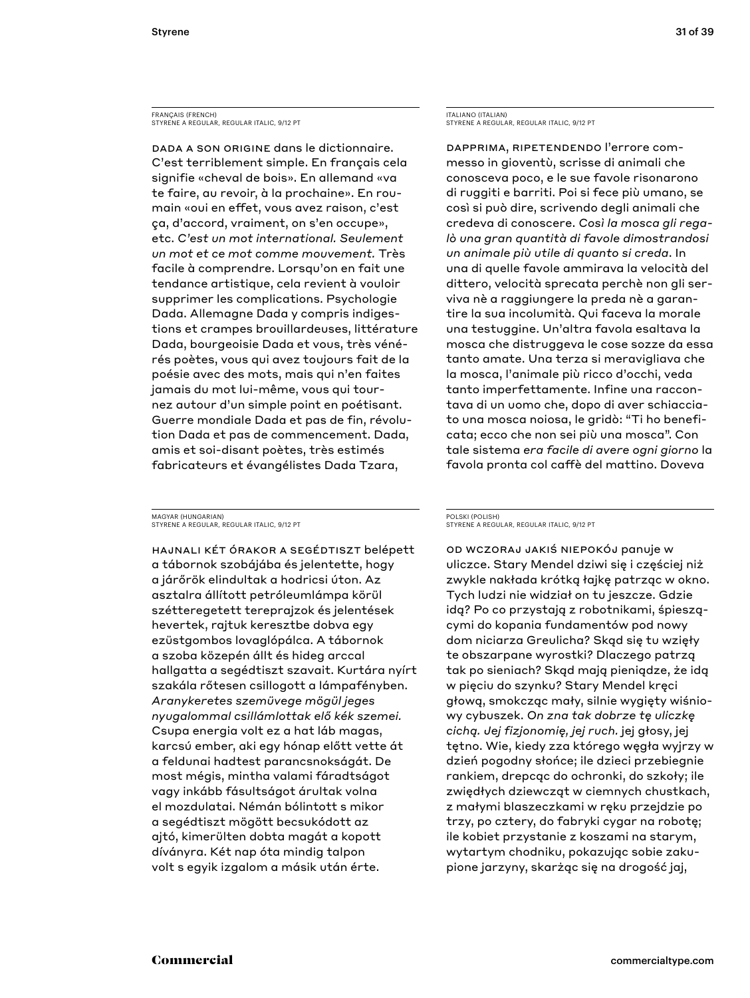FRANÇAIS (FRENCH) STYRENE A REGULAR, REGULAR ITALIC, 9/12 PT

Dada a son origine dans le dictionnaire. C'est terriblement simple. En français cela signifie «cheval de bois». En allemand «va te faire, au revoir, à la prochaine». En roumain «oui en effet, vous avez raison, c'est ça, d'accord, vraiment, on s'en occupe», etc. *C'est un mot international. Seulement un mot et ce mot comme mouvement.* Très facile à comprendre. Lorsqu'on en fait une tendance artistique, cela revient à vouloir supprimer les complications. Psychologie Dada. Allemagne Dada y compris indigestions et crampes brouillardeuses, littérature Dada, bourgeoisie Dada et vous, très vénérés poètes, vous qui avez toujours fait de la poésie avec des mots, mais qui n'en faites jamais du mot lui-même, vous qui tournez autour d'un simple point en poétisant. Guerre mondiale Dada et pas de fin, révolution Dada et pas de commencement. Dada, amis et soi-disant poètes, très estimés fabricateurs et évangélistes Dada Tzara,

MAGYAR (HUNGARIAN) STYRENE A REGULAR, REGULAR ITALIC, 9/12 PT

Hajnali két órakor a segédtiszt belépett a tábornok szobájába és jelentette, hogy a járőrök elindultak a hodricsi úton. Az asztalra állított petróleumlámpa körül szétteregetett tereprajzok és jelentések hevertek, rajtuk keresztbe dobva egy ezüstgombos lovaglópálca. A tábornok a szoba közepén állt és hideg arccal hallgatta a segédtiszt szavait. Kurtára nyírt szakála rőtesen csillogott a lámpafényben. *Aranykeretes szemüvege mögül jeges nyugalommal csillámlottak elő kék szemei.* Csupa energia volt ez a hat láb magas, karcsú ember, aki egy hónap előtt vette át a feldunai hadtest parancsnokságát. De most mégis, mintha valami fáradtságot vagy inkább fásultságot árultak volna el mozdulatai. Némán bólintott s mikor a segédtiszt mögött becsukódott az ajtó, kimerülten dobta magát a kopott díványra. Két nap óta mindig talpon volt s egyik izgalom a másik után érte.

ITALIANO (ITALIAN) STYRENE A REGULAR, REGULAR ITALIC, 9/12 PT

Dapprima, ripetendendo l'errore commesso in gioventù, scrisse di animali che conosceva poco, e le sue favole risonarono di ruggiti e barriti. Poi si fece più umano, se così si può dire, scrivendo degli animali che credeva di conoscere. *Così la mosca gli regalò una gran quantità di favole dimostrandosi un animale più utile di quanto si creda*. In una di quelle favole ammirava la velocità del dittero, velocità sprecata perchè non gli serviva nè a raggiungere la preda nè a garantire la sua incolumità. Qui faceva la morale una testuggine. Un'altra favola esaltava la mosca che distruggeva le cose sozze da essa tanto amate. Una terza si meravigliava che la mosca, l'animale più ricco d'occhi, veda tanto imperfettamente. Infine una raccontava di un uomo che, dopo di aver schiacciato una mosca noiosa, le gridò: "Ti ho beneficata; ecco che non sei più una mosca". Con tale sistema *era facile di avere ogni giorno* la favola pronta col caffè del mattino. Doveva

#### POLSKI (POLISH) STYRENE A REGULAR, REGULAR ITALIC, 9/12 PT

Od wczoraj jakiś niepokój panuje w uliczce. Stary Mendel dziwi się i częściej niż zwykle nakłada krótką łajkę patrząc w okno. Tych ludzi nie widział on tu jeszcze. Gdzie idą? Po co przystają z robotnikami, śpieszącymi do kopania fundamentów pod nowy dom niciarza Greulicha? Skąd się tu wzięły te obszarpane wyrostki? Dlaczego patrzą tak po sieniach? Skąd mają pieniądze, że idą w pięciu do szynku? Stary Mendel kręci głową, smokcząc mały, silnie wygięty wiśniowy cybuszek. *On zna tak dobrze tę uliczkę cichą. Jej fizjonomię, jej ruch.* jej głosy, jej tętno. Wie, kiedy zza którego węgła wyjrzy w dzień pogodny słońce; ile dzieci przebiegnie rankiem, drepcąc do ochronki, do szkoły; ile zwiędłych dziewcząt w ciemnych chustkach, z małymi blaszeczkami w ręku przejdzie po trzy, po cztery, do fabryki cygar na robotę; ile kobiet przystanie z koszami na starym, wytartym chodniku, pokazując sobie zakupione jarzyny, skarżąc się na drogość jaj,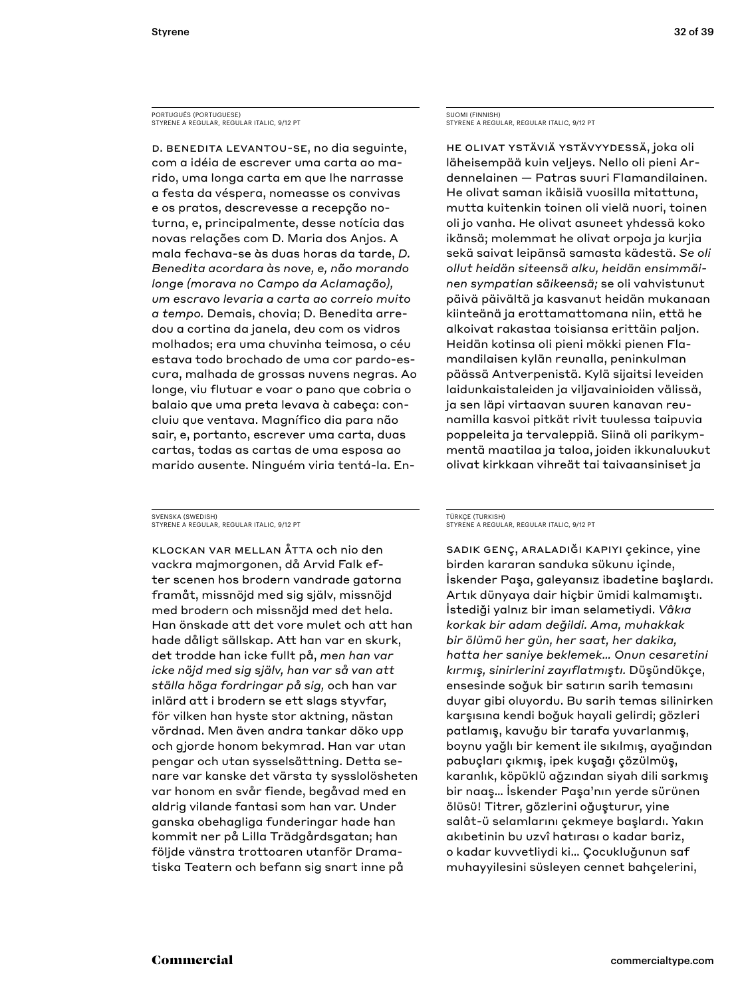PORTUGUÊS (PORTUGUESE) STYRENE A REGULAR, REGULAR ITALIC, 9/12 PT

D. Benedita levantou-se, no dia seguinte, com a idéia de escrever uma carta ao marido, uma longa carta em que lhe narrasse a festa da véspera, nomeasse os convivas e os pratos, descrevesse a recepção noturna, e, principalmente, desse notícia das novas relações com D. Maria dos Anjos. A mala fechava-se às duas horas da tarde, *D. Benedita acordara às nove, e, não morando longe (morava no Campo da Aclamação), um escravo levaria a carta ao correio muito a tempo.* Demais, chovia; D. Benedita arredou a cortina da janela, deu com os vidros molhados; era uma chuvinha teimosa, o céu estava todo brochado de uma cor pardo-escura, malhada de grossas nuvens negras. Ao longe, viu flutuar e voar o pano que cobria o balaio que uma preta levava à cabeça: concluiu que ventava. Magnífico dia para não sair, e, portanto, escrever uma carta, duas cartas, todas as cartas de uma esposa ao marido ausente. Ninguém viria tentá-la. En-

SVENSKA (SWEDISH) STYRENE A REGULAR, REGULAR ITALIC, 9/12 PT

Klockan var mellan åtta och nio den vackra majmorgonen, då Arvid Falk efter scenen hos brodern vandrade gatorna framåt, missnöjd med sig själv, missnöjd med brodern och missnöjd med det hela. Han önskade att det vore mulet och att han hade dåligt sällskap. Att han var en skurk, det trodde han icke fullt på, *men han var icke nöjd med sig själv, han var så van att ställa höga fordringar på sig,* och han var inlärd att i brodern se ett slags styvfar, för vilken han hyste stor aktning, nästan vördnad. Men även andra tankar döko upp och gjorde honom bekymrad. Han var utan pengar och utan sysselsättning. Detta senare var kanske det värsta ty sysslolösheten var honom en svår fiende, begåvad med en aldrig vilande fantasi som han var. Under ganska obehagliga funderingar hade han kommit ner på Lilla Trädgårdsgatan; han följde vänstra trottoaren utanför Dramatiska Teatern och befann sig snart inne på

SUOMI (FINNISH) STYRENE A REGULAR, REGULAR ITALIC, 9/12 PT

He olivat ystäviä ystävyydessä, joka oli läheisempää kuin veljeys. Nello oli pieni Ardennelainen — Patras suuri Flamandilainen. He olivat saman ikäisiä vuosilla mitattuna, mutta kuitenkin toinen oli vielä nuori, toinen oli jo vanha. He olivat asuneet yhdessä koko ikänsä; molemmat he olivat orpoja ja kurjia sekä saivat leipänsä samasta kädestä. *Se oli ollut heidän siteensä alku, heidän ensimmäinen sympatian säikeensä;* se oli vahvistunut päivä päivältä ja kasvanut heidän mukanaan kiinteänä ja erottamattomana niin, että he alkoivat rakastaa toisiansa erittäin paljon. Heidän kotinsa oli pieni mökki pienen Flamandilaisen kylän reunalla, peninkulman päässä Antverpenistä. Kylä sijaitsi leveiden laidunkaistaleiden ja viljavainioiden välissä, ja sen läpi virtaavan suuren kanavan reunamilla kasvoi pitkät rivit tuulessa taipuvia poppeleita ja tervaleppiä. Siinä oli parikymmentä maatilaa ja taloa, joiden ikkunaluukut olivat kirkkaan vihreät tai taivaansiniset ja

#### TÜRKÇE (TURKISH) STYRENE A REGULAR, REGULAR ITALIC, 9/12 PT

Sadık genç, araladığı kapıyı çekince, yine birden kararan sanduka sükunu içinde, İskender Paşa, galeyansız ibadetine başlardı. Artık dünyaya dair hiçbir ümidi kalmamıştı. İstediği yalnız bir iman selametiydi. *Vâkıa korkak bir adam değildi. Ama, muhakkak bir ölümü her gün, her saat, her dakika, hatta her saniye beklemek… Onun cesaretini kırmış, sinirlerini zayıflatmıştı.* Düşündükçe, ensesinde soğuk bir satırın sarih temasını duyar gibi oluyordu. Bu sarih temas silinirken karşısına kendi boğuk hayali gelirdi; gözleri patlamış, kavuğu bir tarafa yuvarlanmış, boynu yağlı bir kement ile sıkılmış, ayağından pabuçları çıkmış, ipek kuşağı çözülmüş, karanlık, köpüklü ağzından siyah dili sarkmış bir naaş… İskender Paşa'nın yerde sürünen ölüsü! Titrer, gözlerini oğuşturur, yine salât-ü selamlarını çekmeye başlardı. Yakın akıbetinin bu uzvî hatırası o kadar bariz, o kadar kuvvetliydi ki… Çocukluğunun saf muhayyilesini süsleyen cennet bahçelerini,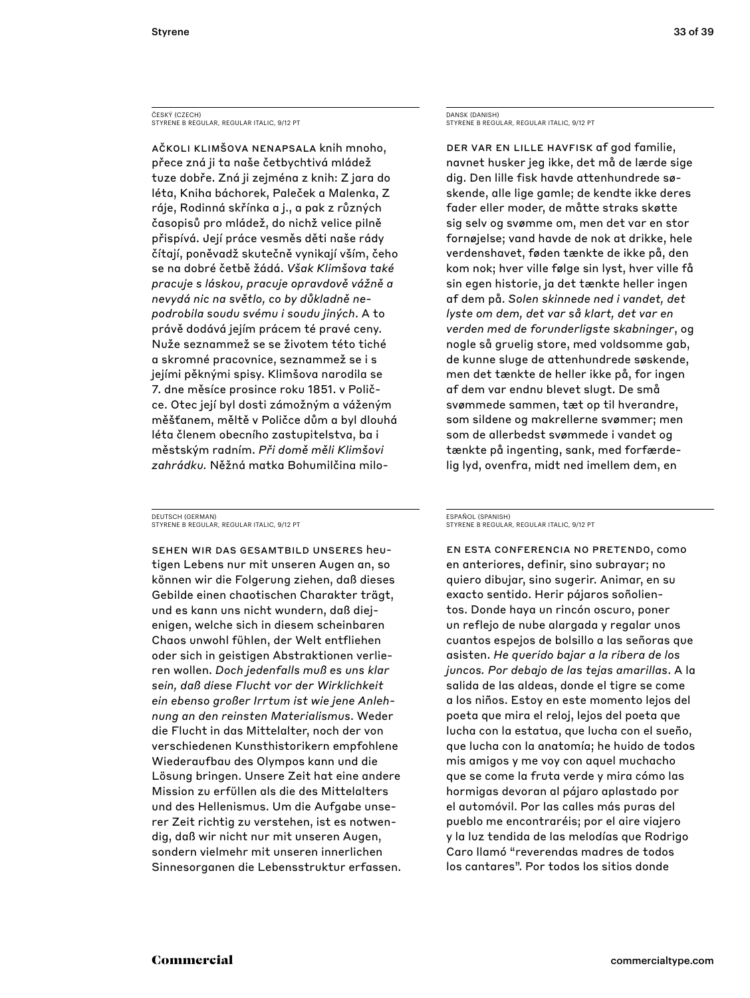ČESKÝ (CZECH) STYRENE B REGULAR, REGULAR ITALIC, 9/12 PT

Ačkoli klimšova nenapsala knih mnoho, přece zná ji ta naše četbychtivá mládež tuze dobře. Zná ji zejména z knih: Z jara do léta, Kniha báchorek, Paleček a Malenka, Z ráje, Rodinná skřínka a j., a pak z různých časopisů pro mládež, do nichž velice pilně přispívá. Její práce vesměs děti naše rády čítají, poněvadž skutečně vynikají vším, čeho se na dobré četbě žádá. *Však Klimšova také pracuje s láskou, pracuje opravdově vážně a nevydá nic na světlo, co by důkladně nepodrobila soudu svému i soudu jiných*. A to právě dodává jejím prácem té pravé ceny. Nuže seznammež se se životem této tiché a skromné pracovnice, seznammež se i s jejími pěknými spisy. Klimšova narodila se 7. dne měsíce prosince roku 1851. v Poličce. Otec její byl dosti zámožným a váženým měšťanem, měltě v Poličce dům a byl dlouhá léta členem obecního zastupitelstva, ba i městským radním. *Při domě měli Klimšovi zahrádku.* Něžná matka Bohumilčina milo-

DEUTSCH (GERMAN) STYRENE B REGULAR, REGULAR ITALIC, 9/12 PT

Sehen wir das Gesamtbild unseres heutigen Lebens nur mit unseren Augen an, so können wir die Folgerung ziehen, daß dieses Gebilde einen chaotischen Charakter trägt, und es kann uns nicht wundern, daß diejenigen, welche sich in diesem scheinbaren Chaos unwohl fühlen, der Welt entfliehen oder sich in geistigen Abstraktionen verlieren wollen. *Doch jedenfalls muß es uns klar sein, daß diese Flucht vor der Wirklichkeit ein ebenso großer Irrtum ist wie jene Anlehnung an den reinsten Materialismus*. Weder die Flucht in das Mittelalter, noch der von verschiedenen Kunsthistorikern empfohlene Wiederaufbau des Olympos kann und die Lösung bringen. Unsere Zeit hat eine andere Mission zu erfüllen als die des Mittelalters und des Hellenismus. Um die Aufgabe unserer Zeit richtig zu verstehen, ist es notwendig, daß wir nicht nur mit unseren Augen, sondern vielmehr mit unseren innerlichen Sinnesorganen die Lebensstruktur erfassen.

DANSK (DANISH) STYRENE B REGULAR, REGULAR ITALIC, 9/12 PT

Der var en lille havfisk af god familie, navnet husker jeg ikke, det må de lærde sige dig. Den lille fisk havde attenhundrede søskende, alle lige gamle; de kendte ikke deres fader eller moder, de måtte straks skøtte sig selv og svømme om, men det var en stor fornøjelse; vand havde de nok at drikke, hele verdenshavet, føden tænkte de ikke på, den kom nok; hver ville følge sin lyst, hver ville få sin egen historie, ja det tænkte heller ingen af dem på. *Solen skinnede ned i vandet, det lyste om dem, det var så klart, det var en verden med de forunderligste skabninger*, og nogle så gruelig store, med voldsomme gab, de kunne sluge de attenhundrede søskende, men det tænkte de heller ikke på, for ingen af dem var endnu blevet slugt. De små svømmede sammen, tæt op til hverandre, som sildene og makrellerne svømmer; men som de allerbedst svømmede i vandet og tænkte på ingenting, sank, med forfærdelig lyd, ovenfra, midt ned imellem dem, en

#### ESPAÑOL (SPANISH) STYRENE B REGULAR, REGULAR ITALIC, 9/12 PT

En esta conferencia no pretendo, como en anteriores, definir, sino subrayar; no quiero dibujar, sino sugerir. Animar, en su exacto sentido. Herir pájaros soñolientos. Donde haya un rincón oscuro, poner un reflejo de nube alargada y regalar unos cuantos espejos de bolsillo a las señoras que asisten. *He querido bajar a la ribera de los juncos. Por debajo de las tejas amarillas*. A la salida de las aldeas, donde el tigre se come a los niños. Estoy en este momento lejos del poeta que mira el reloj, lejos del poeta que lucha con la estatua, que lucha con el sueño, que lucha con la anatomía; he huido de todos mis amigos y me voy con aquel muchacho que se come la fruta verde y mira cómo las hormigas devoran al pájaro aplastado por el automóvil. Por las calles más puras del pueblo me encontraréis; por el aire viajero y la luz tendida de las melodías que Rodrigo Caro llamó "reverendas madres de todos los cantares". Por todos los sitios donde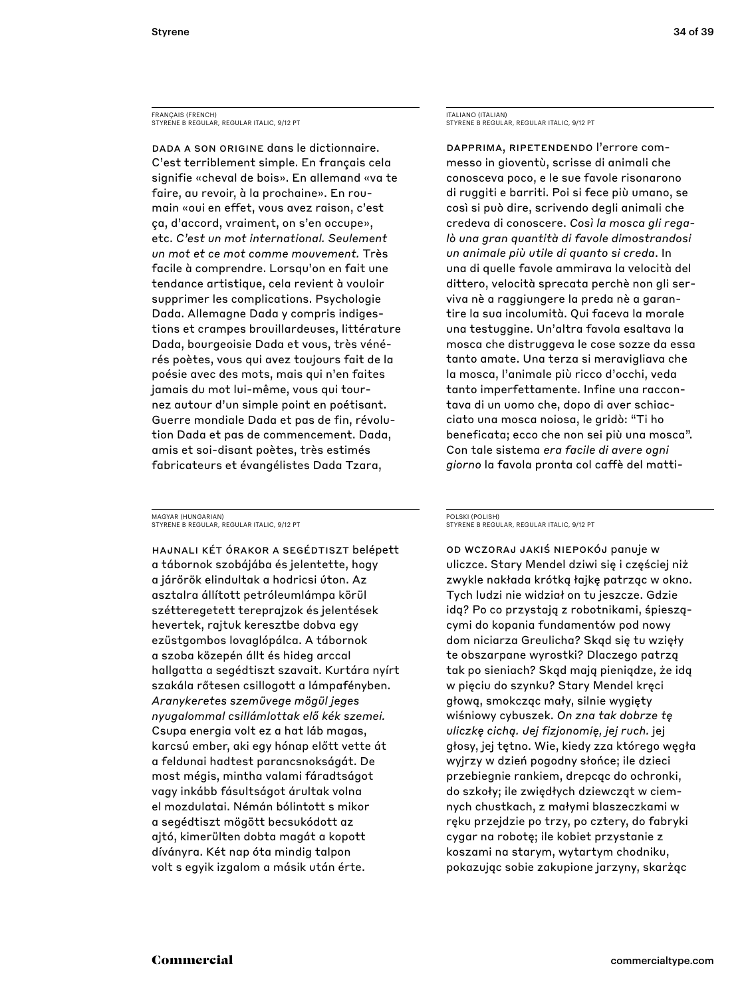FRANÇAIS (FRENCH) STYRENE B REGULAR, REGULAR ITALIC, 9/12 PT

DADA A SON ORIGINE dans le dictionnaire. C'est terriblement simple. En français cela signifie «cheval de bois». En allemand «va te faire, au revoir, à la prochaine». En roumain «oui en effet, vous avez raison, c'est ça, d'accord, vraiment, on s'en occupe», etc. *C'est un mot international. Seulement un mot et ce mot comme mouvement.* Très facile à comprendre. Lorsqu'on en fait une tendance artistique, cela revient à vouloir supprimer les complications. Psychologie Dada. Allemagne Dada y compris indigestions et crampes brouillardeuses, littérature Dada, bourgeoisie Dada et vous, très vénérés poètes, vous qui avez toujours fait de la poésie avec des mots, mais qui n'en faites jamais du mot lui-même, vous qui tournez autour d'un simple point en poétisant. Guerre mondiale Dada et pas de fin, révolution Dada et pas de commencement. Dada, amis et soi-disant poètes, très estimés fabricateurs et évangélistes Dada Tzara,

MAGYAR (HUNGARIAN) STYRENE B REGULAR, REGULAR ITALIC, 9/12 PT

Hajnali két órakor a segédtiszt belépett a tábornok szobájába és jelentette, hogy a járőrök elindultak a hodricsi úton. Az asztalra állított petróleumlámpa körül szétteregetett tereprajzok és jelentések hevertek, rajtuk keresztbe dobva egy ezüstgombos lovaglópálca. A tábornok a szoba közepén állt és hideg arccal hallgatta a segédtiszt szavait. Kurtára nyírt szakála rőtesen csillogott a lámpafényben. *Aranykeretes szemüvege mögül jeges nyugalommal csillámlottak elő kék szemei.* Csupa energia volt ez a hat láb magas, karcsú ember, aki egy hónap előtt vette át a feldunai hadtest parancsnokságát. De most mégis, mintha valami fáradtságot vagy inkább fásultságot árultak volna el mozdulatai. Némán bólintott s mikor a segédtiszt mögött becsukódott az ajtó, kimerülten dobta magát a kopott díványra. Két nap óta mindig talpon volt s egyik izgalom a másik után érte.

ITALIANO (ITALIAN) STYRENE B REGULAR, REGULAR ITALIC, 9/12 PT

Dapprima, ripetendendo l'errore commesso in gioventù, scrisse di animali che conosceva poco, e le sue favole risonarono di ruggiti e barriti. Poi si fece più umano, se così si può dire, scrivendo degli animali che credeva di conoscere. *Così la mosca gli regalò una gran quantità di favole dimostrandosi un animale più utile di quanto si creda*. In una di quelle favole ammirava la velocità del dittero, velocità sprecata perchè non gli serviva nè a raggiungere la preda nè a garantire la sua incolumità. Qui faceva la morale una testuggine. Un'altra favola esaltava la mosca che distruggeva le cose sozze da essa tanto amate. Una terza si meravigliava che la mosca, l'animale più ricco d'occhi, veda tanto imperfettamente. Infine una raccontava di un uomo che, dopo di aver schiacciato una mosca noiosa, le gridò: "Ti ho beneficata; ecco che non sei più una mosca". Con tale sistema *era facile di avere ogni giorno* la favola pronta col caffè del matti-

#### POLSKI (POLISH) STYRENE B REGULAR, REGULAR ITALIC, 9/12 PT

Od wczoraj jakiś niepokój panuje w uliczce. Stary Mendel dziwi się i częściej niż zwykle nakłada krótką łajkę patrząc w okno. Tych ludzi nie widział on tu jeszcze. Gdzie idą? Po co przystają z robotnikami, śpieszącymi do kopania fundamentów pod nowy dom niciarza Greulicha? Skąd się tu wzięły te obszarpane wyrostki? Dlaczego patrzą tak po sieniach? Skąd mają pieniądze, że idą w pięciu do szynku? Stary Mendel kręci głową, smokcząc mały, silnie wygięty wiśniowy cybuszek. *On zna tak dobrze tę uliczkę cichą. Jej fizjonomię, jej ruch.* jej głosy, jej tętno. Wie, kiedy zza którego węgła wyjrzy w dzień pogodny słońce; ile dzieci przebiegnie rankiem, drepcąc do ochronki, do szkoły; ile zwiędłych dziewcząt w ciemnych chustkach, z małymi blaszeczkami w ręku przejdzie po trzy, po cztery, do fabryki cygar na robotę; ile kobiet przystanie z koszami na starym, wytartym chodniku, pokazując sobie zakupione jarzyny, skarżąc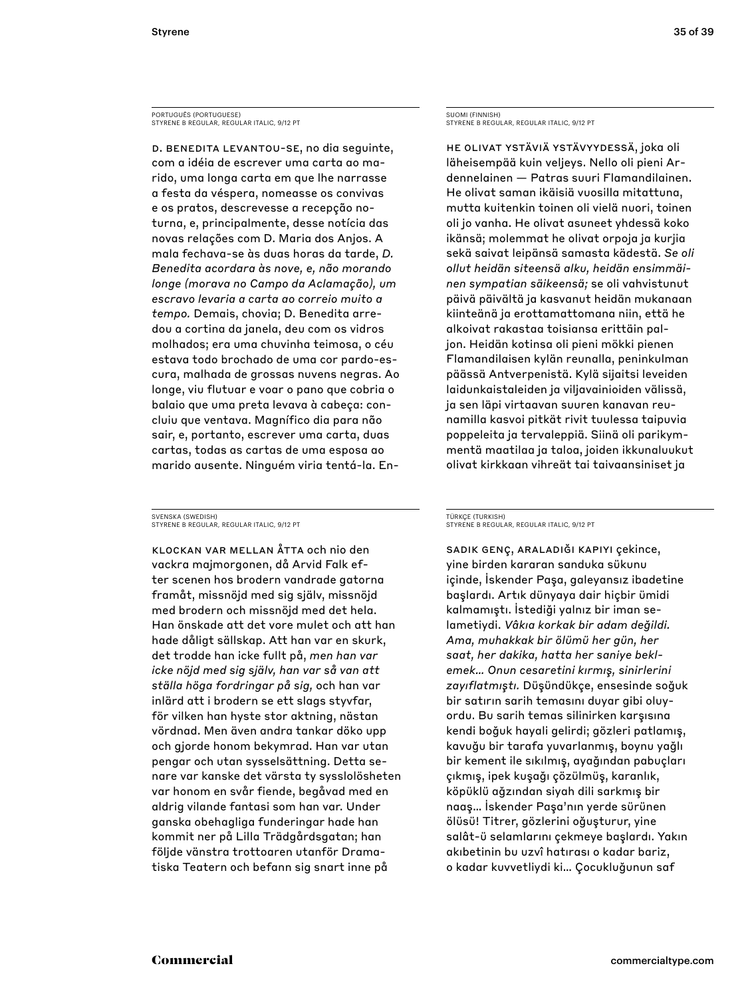PORTUGUÊS (PORTUGUESE) STYRENE B REGULAR, REGULAR ITALIC, 9/12 PT

D. Benedita levantou-se, no dia seguinte, com a idéia de escrever uma carta ao marido, uma longa carta em que lhe narrasse a festa da véspera, nomeasse os convivas e os pratos, descrevesse a recepção noturna, e, principalmente, desse notícia das novas relações com D. Maria dos Anjos. A mala fechava-se às duas horas da tarde, *D. Benedita acordara às nove, e, não morando longe (morava no Campo da Aclamação), um escravo levaria a carta ao correio muito a tempo.* Demais, chovia; D. Benedita arredou a cortina da janela, deu com os vidros molhados; era uma chuvinha teimosa, o céu estava todo brochado de uma cor pardo-escura, malhada de grossas nuvens negras. Ao longe, viu flutuar e voar o pano que cobria o balaio que uma preta levava à cabeça: concluiu que ventava. Magnífico dia para não sair, e, portanto, escrever uma carta, duas cartas, todas as cartas de uma esposa ao marido ausente. Ninguém viria tentá-la. En-

SVENSKA (SWEDISH) STYRENE B REGULAR, REGULAR ITALIC, 9/12 PT

Klockan var mellan åtta och nio den vackra majmorgonen, då Arvid Falk efter scenen hos brodern vandrade gatorna framåt, missnöjd med sig själv, missnöjd med brodern och missnöjd med det hela. Han önskade att det vore mulet och att han hade dåligt sällskap. Att han var en skurk, det trodde han icke fullt på, *men han var icke nöjd med sig själv, han var så van att ställa höga fordringar på sig,* och han var inlärd att i brodern se ett slags styvfar, för vilken han hyste stor aktning, nästan vördnad. Men även andra tankar döko upp och gjorde honom bekymrad. Han var utan pengar och utan sysselsättning. Detta senare var kanske det värsta ty sysslolösheten var honom en svår fiende, begåvad med en aldrig vilande fantasi som han var. Under ganska obehagliga funderingar hade han kommit ner på Lilla Trädgårdsgatan; han följde vänstra trottoaren utanför Dramatiska Teatern och befann sig snart inne på

SUOMI (FINNISH) STYRENE B REGULAR, REGULAR ITALIC, 9/12 PT

He olivat ystäviä ystävyydessä, joka oli läheisempää kuin veljeys. Nello oli pieni Ardennelainen — Patras suuri Flamandilainen. He olivat saman ikäisiä vuosilla mitattuna, mutta kuitenkin toinen oli vielä nuori, toinen oli jo vanha. He olivat asuneet yhdessä koko ikänsä; molemmat he olivat orpoja ja kurjia sekä saivat leipänsä samasta kädestä. *Se oli ollut heidän siteensä alku, heidän ensimmäinen sympatian säikeensä;* se oli vahvistunut päivä päivältä ja kasvanut heidän mukanaan kiinteänä ja erottamattomana niin, että he alkoivat rakastaa toisiansa erittäin paljon. Heidän kotinsa oli pieni mökki pienen Flamandilaisen kylän reunalla, peninkulman päässä Antverpenistä. Kylä sijaitsi leveiden laidunkaistaleiden ja viljavainioiden välissä, ja sen läpi virtaavan suuren kanavan reunamilla kasvoi pitkät rivit tuulessa taipuvia poppeleita ja tervaleppiä. Siinä oli parikymmentä maatilaa ja taloa, joiden ikkunaluukut olivat kirkkaan vihreät tai taivaansiniset ja

#### TÜRKÇE (TURKISH) STYRENE B REGULAR, REGULAR ITALIC, 9/12 PT

Sadık genç, araladığı kapıyı çekince, yine birden kararan sanduka sükunu içinde, İskender Paşa, galeyansız ibadetine başlardı. Artık dünyaya dair hiçbir ümidi kalmamıştı. İstediği yalnız bir iman selametiydi. *Vâkıa korkak bir adam değildi. Ama, muhakkak bir ölümü her gün, her saat, her dakika, hatta her saniye beklemek… Onun cesaretini kırmış, sinirlerini zayıflatmıştı.* Düşündükçe, ensesinde soğuk bir satırın sarih temasını duyar gibi oluyordu. Bu sarih temas silinirken karşısına kendi boğuk hayali gelirdi; gözleri patlamış, kavuğu bir tarafa yuvarlanmış, boynu yağlı bir kement ile sıkılmış, ayağından pabuçları çıkmış, ipek kuşağı çözülmüş, karanlık, köpüklü ağzından siyah dili sarkmış bir naaş… İskender Paşa'nın yerde sürünen ölüsü! Titrer, gözlerini oğuşturur, yine salât-ü selamlarını çekmeye başlardı. Yakın akıbetinin bu uzvî hatırası o kadar bariz, o kadar kuvvetliydi ki… Çocukluğunun saf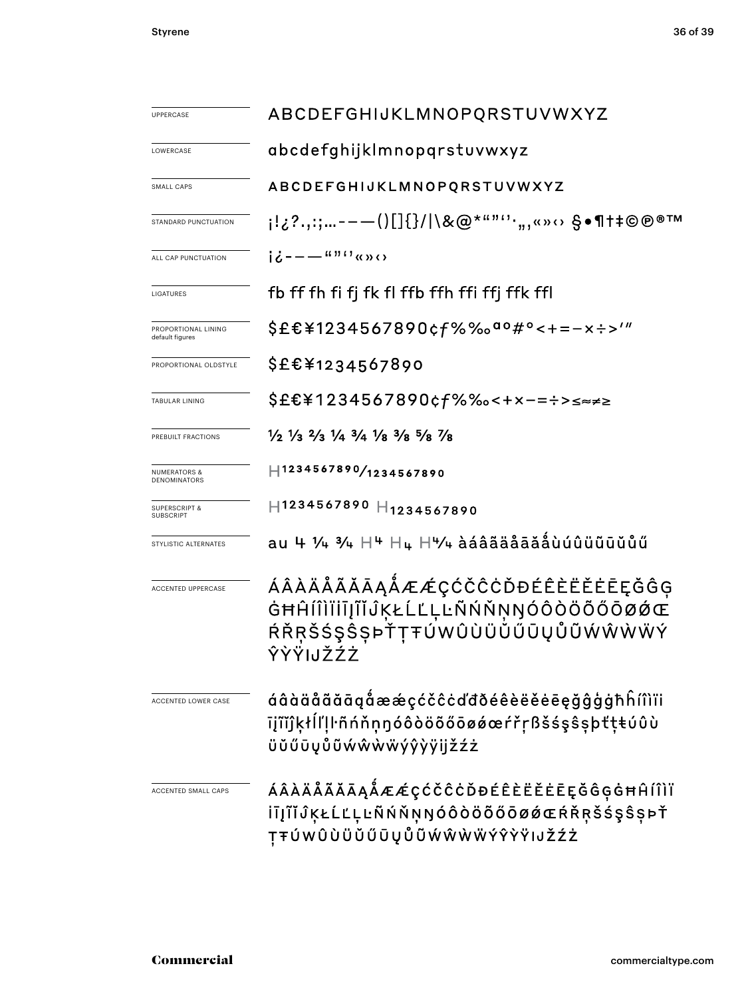| <b>UPPERCASE</b>                               | ABCDEFGHIJKLMNOPQRSTUVWXYZ                                                                                                    |  |  |  |  |
|------------------------------------------------|-------------------------------------------------------------------------------------------------------------------------------|--|--|--|--|
| LOWERCASE                                      | abcdefghijklmnopqrstuvwxyz                                                                                                    |  |  |  |  |
| SMALL CAPS                                     | ABCDEFGHIJKLMNOPQRSTUVWXYZ                                                                                                    |  |  |  |  |
| STANDARD PUNCTUATION                           | i¦¿?.,:;-——()[]{}/ \&@*""''·",«»⇔ §•¶†‡©®®™                                                                                   |  |  |  |  |
| ALL CAP PUNCTUATION                            | id--- <sup>##0</sup> «»⇔                                                                                                      |  |  |  |  |
| LIGATURES                                      | fb ff fh fi fj fk fl ffb ffh ffi ffj ffk ffl                                                                                  |  |  |  |  |
| PROPORTIONAL LINING<br>default figures         | \$£€¥1234567890¢f%‰ <sup>ao</sup> #°<+=-×÷>′″                                                                                 |  |  |  |  |
| PROPORTIONAL OLDSTYLE                          | \$£€¥1234567890                                                                                                               |  |  |  |  |
| <b>TABULAR LINING</b>                          | \$£€¥1234567890¢f%‰<+×-=÷>≤≈≠≥                                                                                                |  |  |  |  |
| PREBUILT FRACTIONS                             | $\frac{1}{2}$ $\frac{1}{3}$ $\frac{2}{3}$ $\frac{1}{4}$ $\frac{3}{4}$ $\frac{1}{8}$ $\frac{3}{8}$ $\frac{5}{8}$ $\frac{7}{8}$ |  |  |  |  |
| <b>NUMERATORS &amp;</b><br><b>DENOMINATORS</b> | $ $ 1234567890/ <sub>1234567890</sub>                                                                                         |  |  |  |  |
| <b>SUPERSCRIPT &amp;</b><br><b>SUBSCRIPT</b>   | H1234567890 H1234567890                                                                                                       |  |  |  |  |
| STYLISTIC ALTERNATES                           | $au$ 4 ¼ ¾ $H$ <sup>4</sup> $H$ ų $H$ $4/4$ àáâãäåãå $a$ åùúûüũūŭůű                                                           |  |  |  |  |
| <b>ACCENTED UPPERCASE</b>                      | ÁÂÀÄÅÃĂĀĄÅÆÆÇĆČĈĊĎĐÉÊÈËĖĒĘĞĜĢ<br>ĠĦĤÍÎÌĬĬĨĨĨĴĶŁĹĽĻĿÑŃŇŅŊÓÔÒÖŐŐŌØØŒ<br>ŔŘŖŠŚŞŜŞÞŤŢŦÚWÛÙÜŬŰŪŲŮŨŴŴŴŴÝ<br>ŶŶŸIJŽŹŻ                |  |  |  |  |
| ACCENTED LOWER CASE                            | áâàäåãããąåææçćčĉċďđðéêèëěēęğĝģġħĥíîìïi<br>īįĩĭĵķłĺľḷŀñńňṇŋóôòöõőōøǿœŕřṛßšśşŝşþťţŧúûù<br>üŭűūyůũẃŵẁẅýŷỳÿijžźż                  |  |  |  |  |
| ACCENTED SMALL CAPS                            | ÁÂÀÄÅÃĂĀĄÅÆÆÇĆČĈĊĎĐÉÊÈËĖĒĘĞĜĢĠĦĤÍÎÌÏ<br>İĪĮĨĬĴĶŁĹĽĻĿÑŃŇŅŊÓÔÒÖŐŐŌØØŒŔŘŖŠŚŞŜŞÞŤ<br>ŢŦÚWÛÙÜŬŰŪŲŮŨŴŴŴŴÝŶŶŸIJŽŹŻ                   |  |  |  |  |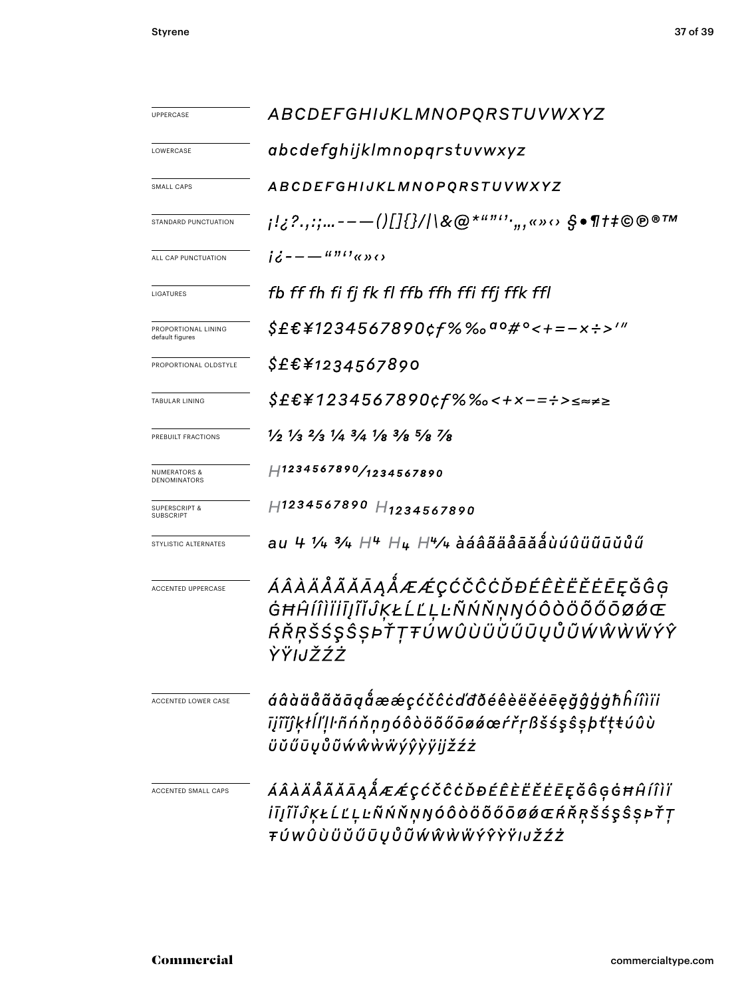| UPPERCASE                               | ABCDEFGHIJKLMNOPQRSTUVWXYZ                                                                                                    |  |  |  |  |
|-----------------------------------------|-------------------------------------------------------------------------------------------------------------------------------|--|--|--|--|
| LOWERCASE                               | abcdefghijklmnopqrstuvwxyz                                                                                                    |  |  |  |  |
| SMALL CAPS                              | ABCDEFGHIJKLMNOPQRSTUVWXYZ                                                                                                    |  |  |  |  |
| STANDARD PUNCTUATION                    | ;¦¿?.,:;---()[]{}/ \&@*""'',,«»⇔ §•¶†‡©®®™                                                                                    |  |  |  |  |
| ALL CAP PUNCTUATION                     | $i\ddot{\epsilon}$ - - - $\frac{u\pi i}{\kappa}$ $\kappa$ $\kappa$ $\kappa$                                                   |  |  |  |  |
| LIGATURES                               | fb ff fh fi fj fk fl ffb ffh ffi ffj ffk ffl                                                                                  |  |  |  |  |
| PROPORTIONAL LINING<br>default figures  | \$£€¥1234567890¢f%‰ <sup>ao</sup> #°<+=-×÷>′″                                                                                 |  |  |  |  |
| PROPORTIONAL OLDSTYLE                   | <i>\$£€¥1234567890</i>                                                                                                        |  |  |  |  |
| <b>TABULAR LINING</b>                   | \$£€¥1234567890¢f%‰<+×−=÷>≤≈≠≥                                                                                                |  |  |  |  |
| PREBUILT FRACTIONS                      | $\frac{1}{2}$ $\frac{1}{3}$ $\frac{2}{3}$ $\frac{1}{4}$ $\frac{3}{4}$ $\frac{1}{8}$ $\frac{3}{8}$ $\frac{5}{8}$ $\frac{7}{8}$ |  |  |  |  |
| <b>NUMERATORS &amp;</b><br>DENOMINATORS | H1234567890/1234567890                                                                                                        |  |  |  |  |
| <b>SUPERSCRIPT &amp;</b><br>SUBSCRIPT   | $H$ 1234567890 $H$ 1234567890                                                                                                 |  |  |  |  |
| STYLISTIC ALTERNATES                    | au 4 1/4 3/4 $H^4$ $H_4$ $H^4$ /4 àáâãäåãåååůúûüũūŭůű                                                                         |  |  |  |  |
| ACCENTED UPPERCASE                      | <i>ÁÂÀÄÅÃĂĀĄÅÆÆ</i> ÇĆČĈĊĎĐÉÊÈËĔĒĘĞĜĢ<br>ĠĦĤÍÎÌĬİĪJĨĬĴĶŁĹĽĻĿÑŃŇŅŊÓÔŎŎŐŐŌØŹŒ<br>ŔŘŖŠŚŞŜŞÞŤŢŦÚWÛÙÜŬŰŨŲŮŨŴŴŴŴÝŶ<br>ŶŸIJŽŹŻ       |  |  |  |  |
| <b>ACCENTED LOWER CASE</b>              | áâàäåãăāąåææçćčĉċďđðéêèëěēęğĝģġħĥíîìïi<br>īįĩĭĵķłĺľḷŀñńňṇŋóôòöõőōøǿœŕřṛßšśşŝṣþťṭŧúûù<br>üŭűūyůũẃŵẁẅýŷỳÿijžźż                  |  |  |  |  |
| <b>ACCENTED SMALL CAPS</b>              | ÁÂÀÄÅÃĂĀĄÅÆÆÇĆČĈĊĎĐÉÊÈËĔĒĘĞĜĢĠĦĤÍÎÌÏ<br><i>İīįĨĬĴĶŁĹĽĻĿŇŃŇŅŊÓÔÒÖŐŐŌØÓŒŔŘŖŠŚŞŜŞÞŤŢ</i><br>ŦÚWÛÙÜŬŰŪŲŮŨŴŴŴŴÝŶŶŸIJŽŹŻ            |  |  |  |  |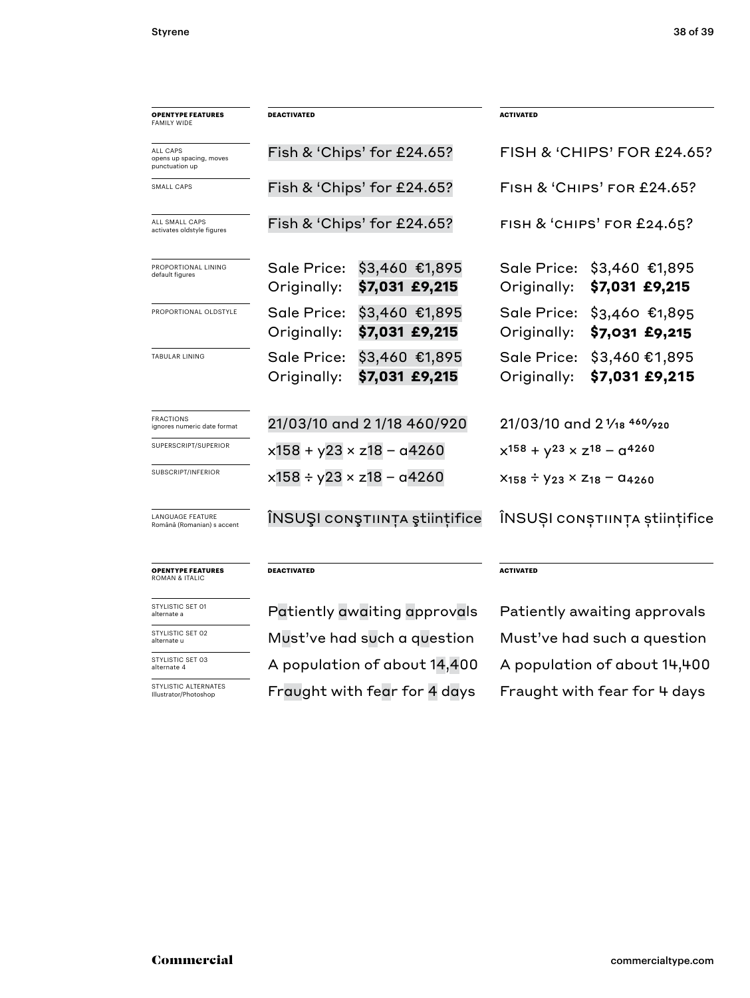| <b>OPENTYPE FEATURES</b><br><b>FAMILY WIDE</b>               | <b>DEACTIVATED</b>                 |                                  | <b>ACTIVATED</b>                               |                                   |
|--------------------------------------------------------------|------------------------------------|----------------------------------|------------------------------------------------|-----------------------------------|
| <b>ALL CAPS</b><br>opens up spacing, moves<br>punctuation up |                                    | Fish & 'Chips' for £24.65?       | FISH & 'CHIPS' FOR £24.65?                     |                                   |
| SMALL CAPS                                                   | Fish & 'Chips' for £24.65?         |                                  | <b>FISH &amp; 'CHIPS' FOR £24.65?</b>          |                                   |
| ALL SMALL CAPS<br>activates oldstyle figures                 | Fish & 'Chips' for £24.65?         |                                  | FISH & 'CHIPS' FOR £24.65?                     |                                   |
| PROPORTIONAL LINING<br>default figures                       | Sale Price:<br>Originally:         | \$3,460 €1,895<br>\$7,031 £9,215 | Sale Price:<br>Originally:                     | \$3,460 €1,895<br>\$7,031 £9,215  |
| PROPORTIONAL OLDSTYLE                                        | Sale Price:<br>Originally:         | \$3,460 €1,895<br>\$7,031 £9,215 | Sale Price:<br>Originally:                     | $$3,460$ €1,895<br>\$7,031 £9,215 |
| <b>TABULAR LINING</b>                                        | Sale Price:<br>Originally:         | \$3,460 €1,895<br>\$7,031 £9,215 | Sale Price:<br>Originally:                     | \$3,460 €1,895<br>\$7,031 £9,215  |
| <b>FRACTIONS</b><br>ignores numeric date format              | 21/03/10 and 21/18 460/920         |                                  | 21/03/10 and 2 1/18 460/920                    |                                   |
| SUPERSCRIPT/SUPERIOR                                         | $x158 + y23 \times z18 - a4260$    |                                  | $x^{158} + y^{23} \times z^{18} - q^{4260}$    |                                   |
| SUBSCRIPT/INFERIOR                                           | $x158 \div y23 \times z18 - a4260$ |                                  | $X_{158} \div Y_{23} \times Z_{18} - Q_{4260}$ |                                   |
| <b>LANGUAGE FEATURE</b><br>Română (Romanian) s accent        | ÎNSUŞI conştıința științifice      |                                  | ÎNSUȘI conștiința științifice                  |                                   |
| <b>OPENTYPE FEATURES</b><br><b>ROMAN &amp; ITALIC</b>        | <b>DEACTIVATED</b>                 |                                  | <b>ACTIVATED</b>                               |                                   |
| STYLISTIC SET 01<br>alternate a                              | Patiently awaiting approvals       |                                  | Patiently awaiting approvals                   |                                   |
| STYLISTIC SET 02<br>alternate u                              | Must've had such a question        |                                  | Must've had such a question                    |                                   |
| STYLISTIC SET 03<br>alternate 4                              |                                    | A population of about 14,400     | A population of about 14,400                   |                                   |

STYLISTIC ALTERNATES Illustrator/Photoshop

Fraught with fear for 4 days Fraught with fear for 4 days